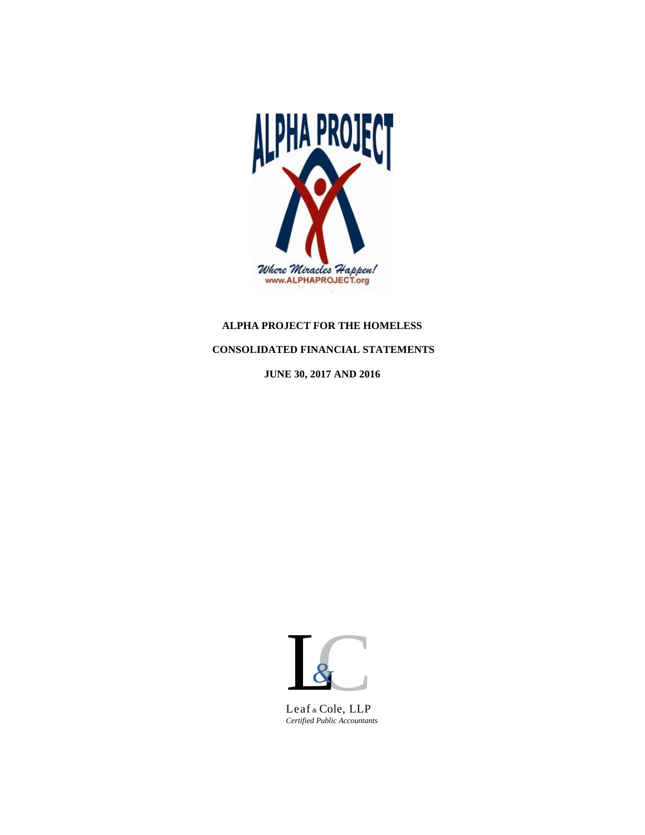

## **ALPHA PROJECT FOR THE HOMELESS**

### **CONSOLIDATED FINANCIAL STATEMENTS**

**JUNE 30, 2017 AND 2016**



*Certified Public Accountants*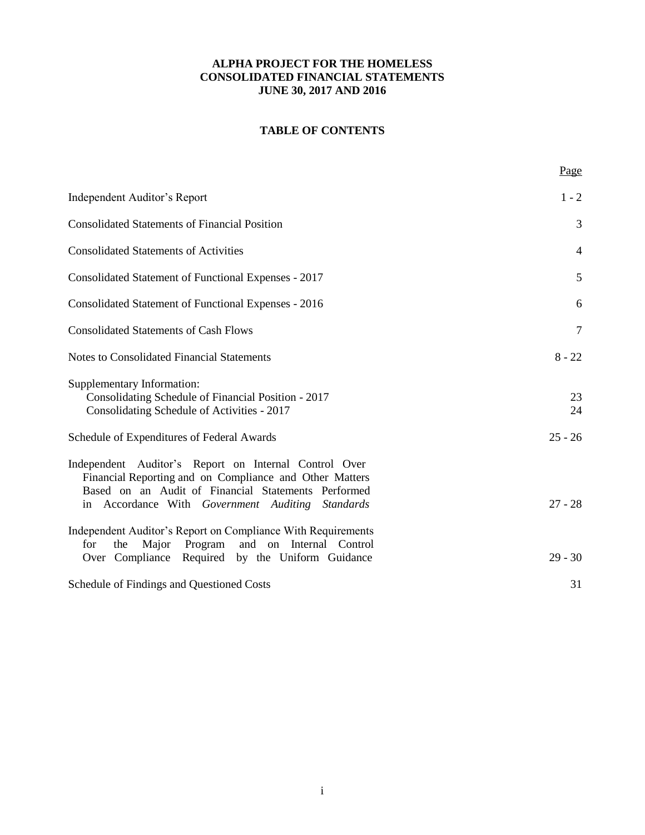## **TABLE OF CONTENTS**

Page

| Independent Auditor's Report                                                                                                                                                                                                | $1 - 2$        |
|-----------------------------------------------------------------------------------------------------------------------------------------------------------------------------------------------------------------------------|----------------|
| <b>Consolidated Statements of Financial Position</b>                                                                                                                                                                        | 3              |
| <b>Consolidated Statements of Activities</b>                                                                                                                                                                                | $\overline{4}$ |
| Consolidated Statement of Functional Expenses - 2017                                                                                                                                                                        | 5              |
| Consolidated Statement of Functional Expenses - 2016                                                                                                                                                                        | 6              |
| <b>Consolidated Statements of Cash Flows</b>                                                                                                                                                                                | $\overline{7}$ |
| <b>Notes to Consolidated Financial Statements</b>                                                                                                                                                                           | $8 - 22$       |
| Supplementary Information:<br>Consolidating Schedule of Financial Position - 2017<br>Consolidating Schedule of Activities - 2017                                                                                            | 23<br>24       |
| Schedule of Expenditures of Federal Awards                                                                                                                                                                                  | $25 - 26$      |
| Independent Auditor's Report on Internal Control Over<br>Financial Reporting and on Compliance and Other Matters<br>Based on an Audit of Financial Statements Performed<br>in Accordance With Government Auditing Standards | $27 - 28$      |
| Independent Auditor's Report on Compliance With Requirements<br>and on Internal Control<br>Major<br>for<br>the<br>Program<br>Over Compliance Required by the Uniform Guidance                                               | $29 - 30$      |
| Schedule of Findings and Questioned Costs                                                                                                                                                                                   | 31             |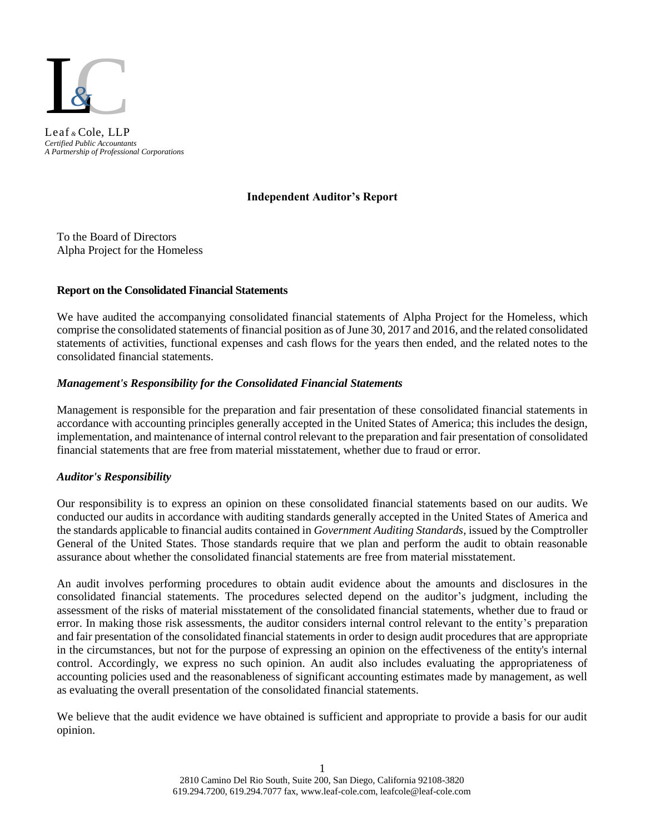

*Certified Public Accountants A Partnership of Professional Corporations*

## **Independent Auditor's Report**

To the Board of Directors Alpha Project for the Homeless

## **Report on the Consolidated Financial Statements**

We have audited the accompanying consolidated financial statements of Alpha Project for the Homeless, which comprise the consolidated statements of financial position as of June 30, 2017 and 2016, and the related consolidated statements of activities, functional expenses and cash flows for the years then ended, and the related notes to the consolidated financial statements.

## *Management's Responsibility for the Consolidated Financial Statements*

Management is responsible for the preparation and fair presentation of these consolidated financial statements in accordance with accounting principles generally accepted in the United States of America; this includes the design, implementation, and maintenance of internal control relevant to the preparation and fair presentation of consolidated financial statements that are free from material misstatement, whether due to fraud or error.

## *Auditor's Responsibility*

Our responsibility is to express an opinion on these consolidated financial statements based on our audits. We conducted our audits in accordance with auditing standards generally accepted in the United States of America and the standards applicable to financial audits contained in *Government Auditing Standards*, issued by the Comptroller General of the United States. Those standards require that we plan and perform the audit to obtain reasonable assurance about whether the consolidated financial statements are free from material misstatement.

An audit involves performing procedures to obtain audit evidence about the amounts and disclosures in the consolidated financial statements. The procedures selected depend on the auditor's judgment, including the assessment of the risks of material misstatement of the consolidated financial statements, whether due to fraud or error. In making those risk assessments, the auditor considers internal control relevant to the entity's preparation and fair presentation of the consolidated financial statements in order to design audit procedures that are appropriate in the circumstances, but not for the purpose of expressing an opinion on the effectiveness of the entity's internal control. Accordingly, we express no such opinion. An audit also includes evaluating the appropriateness of accounting policies used and the reasonableness of significant accounting estimates made by management, as well as evaluating the overall presentation of the consolidated financial statements.

We believe that the audit evidence we have obtained is sufficient and appropriate to provide a basis for our audit opinion.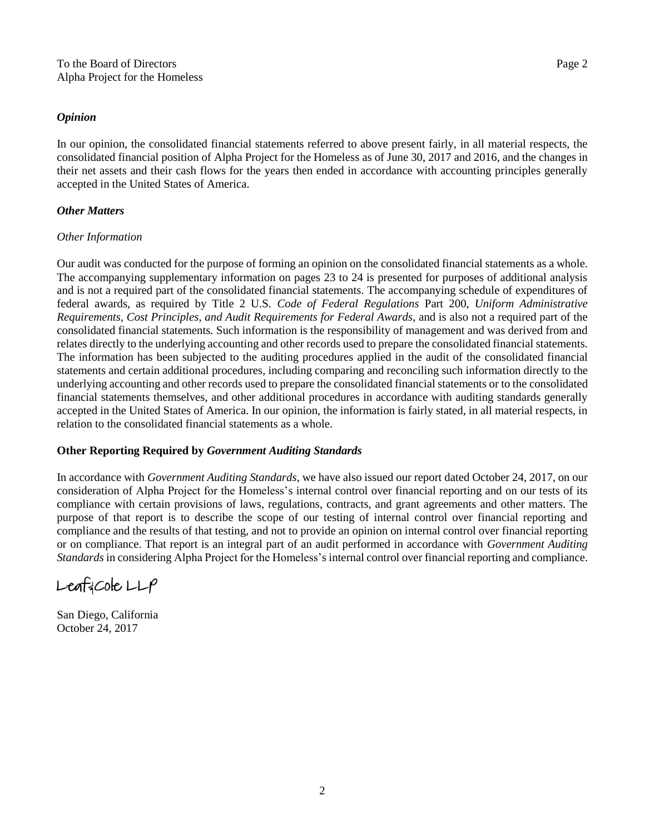#### *Opinion*

In our opinion, the consolidated financial statements referred to above present fairly, in all material respects, the consolidated financial position of Alpha Project for the Homeless as of June 30, 2017 and 2016, and the changes in their net assets and their cash flows for the years then ended in accordance with accounting principles generally accepted in the United States of America.

## *Other Matters*

## *Other Information*

Our audit was conducted for the purpose of forming an opinion on the consolidated financial statements as a whole. The accompanying supplementary information on pages 23 to 24 is presented for purposes of additional analysis and is not a required part of the consolidated financial statements. The accompanying schedule of expenditures of federal awards, as required by Title 2 U.S. *Code of Federal Regulations* Part 200, *Uniform Administrative Requirements, Cost Principles, and Audit Requirements for Federal Awards*, and is also not a required part of the consolidated financial statements*.* Such information is the responsibility of management and was derived from and relates directly to the underlying accounting and other records used to prepare the consolidated financial statements. The information has been subjected to the auditing procedures applied in the audit of the consolidated financial statements and certain additional procedures, including comparing and reconciling such information directly to the underlying accounting and other records used to prepare the consolidated financial statements or to the consolidated financial statements themselves, and other additional procedures in accordance with auditing standards generally accepted in the United States of America. In our opinion, the information is fairly stated, in all material respects, in relation to the consolidated financial statements as a whole.

## **Other Reporting Required by** *Government Auditing Standards*

In accordance with *Government Auditing Standards*, we have also issued our report dated October 24, 2017, on our consideration of Alpha Project for the Homeless's internal control over financial reporting and on our tests of its compliance with certain provisions of laws, regulations, contracts, and grant agreements and other matters. The purpose of that report is to describe the scope of our testing of internal control over financial reporting and compliance and the results of that testing, and not to provide an opinion on internal control over financial reporting or on compliance. That report is an integral part of an audit performed in accordance with *Government Auditing Standards* in considering Alpha Project for the Homeless's internal control over financial reporting and compliance.

 $L$ eaf: $C$ ole  $L L \rho$ 

San Diego, California October 24, 2017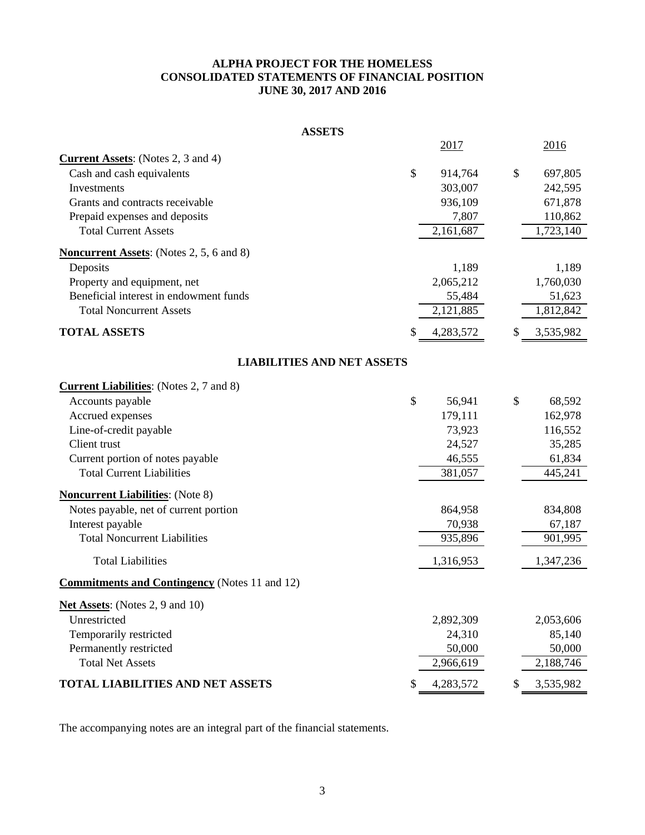## **ALPHA PROJECT FOR THE HOMELESS CONSOLIDATED STATEMENTS OF FINANCIAL POSITION JUNE 30, 2017 AND 2016**

| <b>ASSETS</b>                                        |                 |                        |
|------------------------------------------------------|-----------------|------------------------|
|                                                      | 2017            | 2016                   |
| <b>Current Assets:</b> (Notes 2, 3 and 4)            |                 |                        |
| Cash and cash equivalents                            | \$<br>914,764   | \$<br>697,805          |
| Investments                                          | 303,007         | 242,595                |
| Grants and contracts receivable                      | 936,109         | 671,878                |
| Prepaid expenses and deposits                        | 7,807           | 110,862                |
| <b>Total Current Assets</b>                          | 2,161,687       | 1,723,140              |
| <b>Noncurrent Assets:</b> (Notes 2, 5, 6 and 8)      |                 |                        |
| Deposits                                             | 1,189           | 1,189                  |
| Property and equipment, net                          | 2,065,212       | 1,760,030              |
| Beneficial interest in endowment funds               | 55,484          | 51,623                 |
| <b>Total Noncurrent Assets</b>                       | 2,121,885       | $\overline{1,812,842}$ |
| <b>TOTAL ASSETS</b>                                  | \$<br>4,283,572 | \$<br>3,535,982        |
| <b>LIABILITIES AND NET ASSETS</b>                    |                 |                        |
| <b>Current Liabilities:</b> (Notes 2, 7 and 8)       |                 |                        |
| Accounts payable                                     | \$<br>56,941    | \$<br>68,592           |
| Accrued expenses                                     | 179,111         | 162,978                |
| Line-of-credit payable                               | 73,923          | 116,552                |
| Client trust                                         | 24,527          | 35,285                 |
| Current portion of notes payable                     | 46,555          | 61,834                 |
| <b>Total Current Liabilities</b>                     | 381,057         | 445,241                |
| <b>Noncurrent Liabilities:</b> (Note 8)              |                 |                        |
| Notes payable, net of current portion                | 864,958         | 834,808                |
| Interest payable                                     | 70,938          | 67,187                 |
| <b>Total Noncurrent Liabilities</b>                  | 935,896         | 901,995                |
| <b>Total Liabilities</b>                             | 1,316,953       | 1,347,236              |
| <b>Commitments and Contingency</b> (Notes 11 and 12) |                 |                        |
| Net Assets: (Notes 2, 9 and 10)                      |                 |                        |
| Unrestricted                                         | 2,892,309       | 2,053,606              |
| Temporarily restricted                               | 24,310          | 85,140                 |
| Permanently restricted                               | 50,000          | 50,000                 |
| <b>Total Net Assets</b>                              | 2,966,619       | 2,188,746              |
| TOTAL LIABILITIES AND NET ASSETS                     | \$<br>4,283,572 | \$<br>3,535,982        |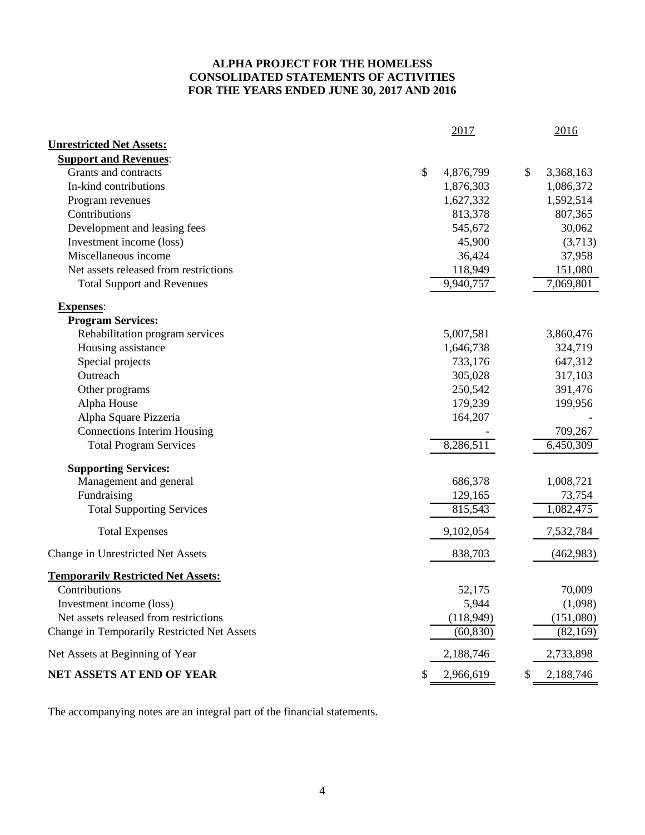## **ALPHA PROJECT FOR THE HOMELESS CONSOLIDATED STATEMENTS OF ACTIVITIES FOR THE YEARS ENDED JUNE 30, 2017 AND 2016**

|                                                    | 2017            | 2016            |
|----------------------------------------------------|-----------------|-----------------|
| <b>Unrestricted Net Assets:</b>                    |                 |                 |
| <b>Support and Revenues:</b>                       |                 |                 |
| Grants and contracts                               | \$<br>4,876,799 | \$<br>3,368,163 |
| In-kind contributions                              | 1,876,303       | 1,086,372       |
| Program revenues                                   | 1,627,332       | 1,592,514       |
| Contributions                                      | 813,378         | 807,365         |
| Development and leasing fees                       | 545,672         | 30,062          |
| Investment income (loss)                           | 45,900          | (3,713)         |
| Miscellaneous income                               | 36,424          | 37,958          |
| Net assets released from restrictions              | 118,949         | 151,080         |
| <b>Total Support and Revenues</b>                  | 9,940,757       | 7,069,801       |
| <b>Expenses:</b>                                   |                 |                 |
| <b>Program Services:</b>                           |                 |                 |
| Rehabilitation program services                    | 5,007,581       | 3,860,476       |
| Housing assistance                                 | 1,646,738       | 324,719         |
| Special projects                                   | 733,176         | 647,312         |
| Outreach                                           | 305,028         | 317,103         |
| Other programs                                     | 250,542         | 391,476         |
| Alpha House                                        | 179,239         | 199,956         |
| Alpha Square Pizzeria                              | 164,207         |                 |
| <b>Connections Interim Housing</b>                 |                 | 709,267         |
| <b>Total Program Services</b>                      | 8,286,511       | 6,450,309       |
| <b>Supporting Services:</b>                        |                 |                 |
| Management and general                             | 686,378         | 1,008,721       |
| Fundraising                                        | 129,165         | 73,754          |
| <b>Total Supporting Services</b>                   | 815,543         | 1,082,475       |
| <b>Total Expenses</b>                              | 9,102,054       | 7,532,784       |
| Change in Unrestricted Net Assets                  | 838,703         | (462,983)       |
| <b>Temporarily Restricted Net Assets:</b>          |                 |                 |
| Contributions                                      | 52,175          | 70,009          |
| Investment income (loss)                           | 5,944           | (1,098)         |
| Net assets released from restrictions              | (118,949)       | (151,080)       |
| <b>Change in Temporarily Restricted Net Assets</b> | (60, 830)       | (82,169)        |
| Net Assets at Beginning of Year                    | 2,188,746       | 2,733,898       |
| NET ASSETS AT END OF YEAR                          | \$<br>2,966,619 | \$<br>2,188,746 |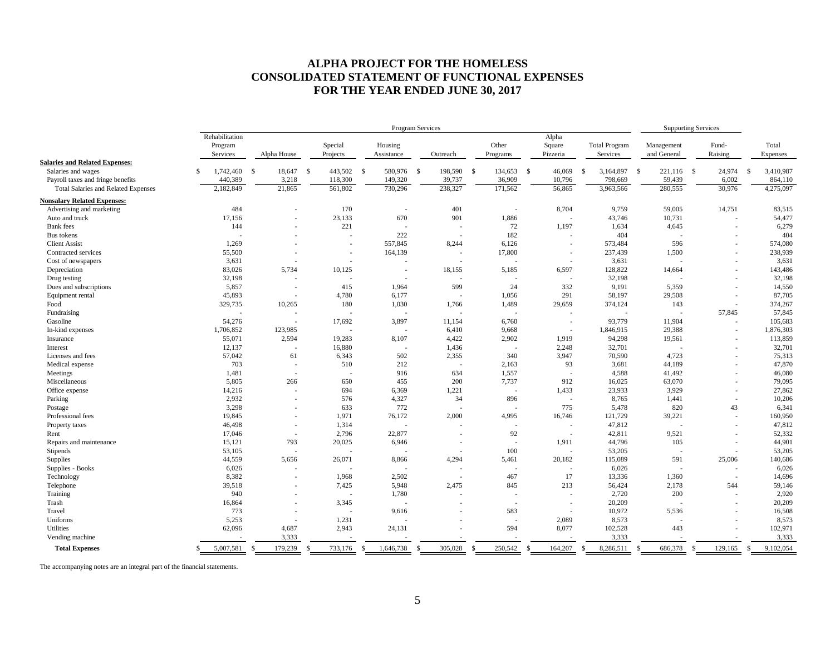## **ALPHA PROJECT FOR THE HOMELESS CONSOLIDATED STATEMENT OF FUNCTIONAL EXPENSES FOR THE YEAR ENDED JUNE 30, 2017**

|                                            |    | Program Services    |               |             |                          |          |                          |    |          | <b>Supporting Services</b> |                   |               |                          |               |                                  |      |                           |               |                          |  |                   |
|--------------------------------------------|----|---------------------|---------------|-------------|--------------------------|----------|--------------------------|----|----------|----------------------------|-------------------|---------------|--------------------------|---------------|----------------------------------|------|---------------------------|---------------|--------------------------|--|-------------------|
|                                            |    | Rehabilitation      |               |             |                          |          |                          |    |          |                            |                   |               | Alpha                    |               |                                  |      |                           |               |                          |  |                   |
|                                            |    | Program<br>Services | Alpha House   |             | Special<br>Projects      |          | Housing<br>Assistance    |    | Outreach |                            | Other<br>Programs |               | Square<br>Pizzeria       |               | <b>Total Program</b><br>Services |      | Management<br>and General |               | Fund-<br>Raising         |  | Total<br>Expenses |
| <b>Salaries and Related Expenses:</b>      |    |                     |               |             |                          |          |                          |    |          |                            |                   |               |                          |               |                                  |      |                           |               |                          |  |                   |
| Salaries and wages                         | £. | 1,742,460           | <b>S</b>      | 18,647 \$   | 443,502                  | - S      | 580,976 \$               |    | 198,590  | - \$                       | 134,653           | $\mathbf{s}$  | 46,069                   | -S            | 3,164,897                        | - \$ | 221,116 \$                |               | 24,974<br>-S             |  | 3,410,987         |
| Payroll taxes and fringe benefits          |    | 440,389             |               | 3,218       | 118,300                  |          | 149,320                  |    | 39,737   |                            | 36,909            |               | 10,796                   |               | 798,669                          |      | 59,439                    |               | 6,002                    |  | 864,110           |
| <b>Total Salaries and Related Expenses</b> |    | 2,182,849           | 21,865        |             | 561,802                  |          | 730,296                  |    | 238,327  |                            | 171,562           |               | 56,865                   |               | 3,963,566                        |      | 280,555                   |               | 30,976                   |  | 4,275,097         |
| <b>Nonsalary Related Expenses:</b>         |    |                     |               |             |                          |          |                          |    |          |                            |                   |               |                          |               |                                  |      |                           |               |                          |  |                   |
| Advertising and marketing                  |    | 484                 |               |             | 170                      |          | $\overline{\phantom{a}}$ |    | 401      |                            |                   |               | 8,704                    |               | 9,759                            |      | 59,005                    |               | 14,751                   |  | 83,515            |
| Auto and truck                             |    | 17.156              |               |             | 23,133                   |          | 670                      |    | 901      |                            | 1,886             |               | ÷,                       |               | 43,746                           |      | 10,731                    |               | $\sim$                   |  | 54,477            |
| <b>Bank</b> fees                           |    | 144                 |               |             | 221                      |          |                          |    |          |                            | 72                |               | 1,197                    |               | 1,634                            |      | 4,645                     |               |                          |  | 6,279             |
| Bus tokens                                 |    |                     |               |             | $\overline{\phantom{a}}$ |          | 222                      |    | $\sim$   |                            | 182               |               | $\overline{\phantom{a}}$ |               | 404                              |      |                           |               |                          |  | 404               |
| <b>Client Assist</b>                       |    | 1,269               |               |             | $\overline{a}$           |          | 557,845                  |    | 8,244    |                            | 6,126             |               | $\sim$                   |               | 573,484                          |      | 596                       |               |                          |  | 574,080           |
| Contracted services                        |    | 55,500              |               |             | $\overline{\phantom{a}}$ |          | 164,139                  |    |          |                            | 17,800            |               | $\overline{\phantom{a}}$ |               | 237,439                          |      | 1,500                     |               |                          |  | 238,939           |
| Cost of newspapers                         |    | 3,631               |               |             |                          |          |                          |    |          |                            |                   |               |                          |               | 3,631                            |      |                           |               |                          |  | 3,631             |
| Depreciation                               |    | 83,026              |               | 5,734       | 10,125                   |          | $\overline{\phantom{a}}$ |    | 18,155   |                            | 5,185             |               | 6,597                    |               | 128,822                          |      | 14,664                    |               |                          |  | 143,486           |
| Drug testing                               |    | 32,198              |               | <b>1999</b> |                          |          |                          |    |          |                            | $\sim$            |               | $\sim$                   |               | 32,198                           |      |                           |               |                          |  | 32,198            |
| Dues and subscriptions                     |    | 5,857               |               | $\sim$      | 415                      |          | 1,964                    |    | 599      |                            | 24                |               | 332                      |               | 9,191                            |      | 5,359                     |               |                          |  | 14,550            |
| Equipment rental                           |    | 45,893              |               |             | 4,780                    |          | 6,177                    |    |          |                            | 1,056             |               | 291                      |               | 58,197                           |      | 29,508                    |               |                          |  | 87,705            |
| Food                                       |    | 329,735             | 10,265        |             | 180                      |          | 1,030                    |    | 1,766    |                            | 1,489             |               | 29,659                   |               | 374,124                          |      | 143                       |               | $\overline{\phantom{a}}$ |  | 374,267           |
| Fundraising                                |    |                     |               | $\sim$      |                          |          |                          |    |          |                            |                   |               |                          |               |                                  |      | $\sim$                    |               | 57,845                   |  | 57,845            |
| Gasoline                                   |    | 54,276              |               | $\sim$      | 17,692                   |          | 3,897                    |    | 11,154   |                            | 6,760             |               | $\overline{\phantom{a}}$ |               | 93,779                           |      | 11,904                    |               |                          |  | 105,683           |
| In-kind expenses                           |    | 1,706,852           | 123,985       |             |                          |          | ×.                       |    | 6,410    |                            | 9,668             |               | $\overline{\phantom{a}}$ |               | 1,846,915                        |      | 29,388                    |               |                          |  | 1,876,303         |
| Insurance                                  |    | 55,071              |               | 2,594       | 19,283                   |          | 8,107                    |    | 4,422    |                            | 2,902             |               | 1,919                    |               | 94,298                           |      | 19,561                    |               |                          |  | 113,859           |
| Interest                                   |    | 12,137              |               |             | 16,880                   |          | ×                        |    | 1,436    |                            |                   |               | 2,248                    |               | 32,701                           |      |                           |               |                          |  | 32,701            |
| Licenses and fees                          |    | 57,042              |               | 61          | 6,343                    |          | 502                      |    | 2,355    |                            | 340               |               | 3,947                    |               | 70,590                           |      | 4,723                     |               |                          |  | 75,313            |
| Medical expense                            |    | 703                 |               | $\sim$      | 510                      |          | 212                      |    |          |                            | 2,163             |               | 93                       |               | 3,681                            |      | 44,189                    |               |                          |  | 47,870            |
| Meetings                                   |    | 1,481               |               | $\sim$      | ÷,                       |          | 916                      |    | 634      |                            | 1,557             |               | $\overline{\phantom{a}}$ |               | 4,588                            |      | 41,492                    |               |                          |  | 46,080            |
| Miscellaneous                              |    | 5,805               |               | 266         | 650                      |          | 455                      |    | 200      |                            | 7,737             |               | 912                      |               | 16,025                           |      | 63,070                    |               |                          |  | 79,095            |
| Office expense                             |    | 14,216              |               | $\sim$      | 694                      |          | 6,369                    |    | 1,221    |                            | $\sim$            |               | 1,433                    |               | 23,933                           |      | 3,929                     |               |                          |  | 27,862            |
| Parking                                    |    | 2,932               |               |             | 576                      |          | 4,327                    |    | 34       |                            | 896               |               | $\overline{\phantom{a}}$ |               | 8,765                            |      | 1,441                     |               |                          |  | 10,206            |
| Postage                                    |    | 3,298               |               | $\sim$      | 633                      |          | 772                      |    |          |                            |                   |               | 775                      |               | 5,478                            |      | 820                       |               | 43                       |  | 6,341             |
| Professional fees                          |    | 19,845              |               |             | 1,971                    |          | 76,172                   |    | 2,000    |                            | 4,995             |               | 16,746                   |               | 121,729                          |      | 39,221                    |               |                          |  | 160,950           |
| Property taxes                             |    | 46,498              |               | $\sim$      | 1,314                    |          |                          |    |          |                            | $\sim$            |               | $\overline{\phantom{a}}$ |               | 47,812                           |      |                           |               | $\mathbf{r}$             |  | 47,812            |
| Rent                                       |    | 17,046              |               | $\sim$      | 2,796                    |          | 22,877                   |    |          |                            | 92                |               | $\overline{a}$           |               | 42,811                           |      | 9,521                     |               |                          |  | 52,332            |
| Repairs and maintenance                    |    | 15,121              |               | 793         | 20,025                   |          | 6,946                    |    |          |                            |                   |               | 1,911                    |               | 44,796                           |      | 105                       |               |                          |  | 44,901            |
| Stipends                                   |    | 53,105              |               |             |                          |          |                          |    |          |                            | 100               |               | ÷,                       |               | 53,205                           |      | $\sim$                    |               |                          |  | 53,205            |
| Supplies                                   |    | 44,559              |               | 5,656       | 26,071                   |          | 8,866                    |    | 4,294    |                            | 5,461             |               | 20,182                   |               | 115,089                          |      | 591                       |               | 25,006                   |  | 140,686           |
| Supplies - Books                           |    | 6,026               |               |             |                          |          |                          |    |          |                            |                   |               | $\overline{\phantom{a}}$ |               | 6,026                            |      | $\overline{\phantom{a}}$  |               |                          |  | 6,026             |
| Technology                                 |    | 8,382               |               | $\sim$      | 1,968                    |          | 2,502                    |    |          |                            | 467               |               | 17                       |               | 13,336                           |      | 1,360                     |               | . п.                     |  | 14,696            |
| Telephone                                  |    | 39,518              |               |             | 7,425                    |          | 5,948                    |    | 2,475    |                            | 845               |               | 213                      |               | 56,424                           |      | 2,178                     |               | 544                      |  | 59,146            |
| Training                                   |    | 940                 |               |             | $\overline{\phantom{a}}$ |          | 1,780                    |    |          |                            |                   |               | $\overline{\phantom{a}}$ |               | 2,720                            |      | 200                       |               |                          |  | 2,920             |
| Trash                                      |    | 16,864              |               |             | 3,345                    |          |                          |    |          |                            |                   |               | $\sim$                   |               | 20,209                           |      |                           |               |                          |  | 20,209            |
| Travel                                     |    | 773                 |               |             |                          |          | 9,616                    |    |          |                            | 583               |               | ٠.                       |               | 10,972                           |      | 5,536                     |               |                          |  | 16,508            |
| Uniforms                                   |    | 5,253               |               |             | 1,231                    |          |                          |    |          |                            |                   |               | 2,089                    |               | 8,573                            |      |                           |               |                          |  | 8,573             |
| <b>Utilities</b>                           |    | 62,096              |               | 4,687       | 2,943                    |          | 24,131                   |    |          |                            | 594               |               | 8,077                    |               | 102,528                          |      | 443                       |               |                          |  | 102,971           |
| Vending machine                            |    |                     |               | 3,333       |                          |          |                          |    |          |                            |                   |               |                          |               | 3,333                            |      |                           |               |                          |  | 3,333             |
|                                            |    |                     |               |             |                          |          |                          |    |          |                            |                   |               |                          |               |                                  |      |                           |               |                          |  |                   |
| <b>Total Expenses</b>                      |    | 5,007,581           | 179,239<br>-S | £.          | 733,176                  | <b>S</b> | 1,646,738                | -S | 305,028  |                            | 250,542           | <sup>\$</sup> | 164,207                  | $\mathcal{S}$ | 8,286,511                        | -S   | 686,378                   | $\mathcal{S}$ | 129,165<br><b>S</b>      |  | 9,102,054         |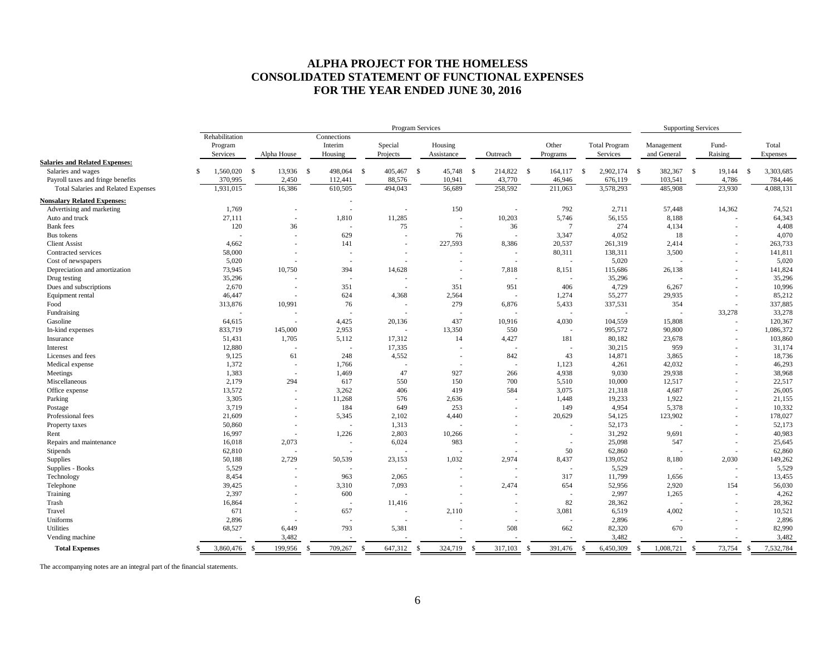## **ALPHA PROJECT FOR THE HOMELESS CONSOLIDATED STATEMENT OF FUNCTIONAL EXPENSES FOR THE YEAR ENDED JUNE 30, 2016**

|                                            |                     |                          |                          |     | Program Services         |    |                       |    |             |               |                          |               |                                  |               | <b>Supporting Services</b> |               |                          |    |                   |
|--------------------------------------------|---------------------|--------------------------|--------------------------|-----|--------------------------|----|-----------------------|----|-------------|---------------|--------------------------|---------------|----------------------------------|---------------|----------------------------|---------------|--------------------------|----|-------------------|
|                                            | Rehabilitation      |                          | Connections              |     |                          |    |                       |    |             |               |                          |               |                                  |               |                            |               |                          |    |                   |
|                                            | Program<br>Services | Alpha House              | Interim<br>Housing       |     | Special<br>Projects      |    | Housing<br>Assistance |    | Outreach    |               | Other<br>Programs        |               | <b>Total Program</b><br>Services |               | Management<br>and General  |               | Fund-<br>Raising         |    | Total<br>Expenses |
| <b>Salaries and Related Expenses:</b>      |                     |                          |                          |     |                          |    |                       |    |             |               |                          |               |                                  |               |                            |               |                          |    |                   |
| Salaries and wages                         | 1,560,020           | 13,936 \$<br>- \$        | 498,064                  | -S  | 405,467                  | -S | 45,748                | -S | 214,822     | $\mathbf{s}$  | 164,117                  | -S            | 2,902,174                        | <b>S</b>      | 382,367 \$                 |               | 19,144                   | -S | 3,303,685         |
| Payroll taxes and fringe benefits          | 370,995             | 2,450                    | 112,441                  |     | 88,576                   |    | 10,941                |    | 43,770      |               | 46,946                   |               | 676,119                          |               | 103,541                    |               | 4,786                    |    | 784,446           |
| <b>Total Salaries and Related Expenses</b> | 1,931,015           | 16,386                   | 610,505                  |     | 494,043                  |    | 56,689                |    | 258,592     |               | 211,063                  |               | 3,578,293                        |               | 485,908                    |               | 23,930                   |    | 4,088,131         |
| <b>Nonsalary Related Expenses:</b>         |                     |                          |                          |     |                          |    |                       |    |             |               |                          |               |                                  |               |                            |               |                          |    |                   |
| Advertising and marketing                  | 1,769               | $\sim$                   | $\overline{\phantom{a}}$ |     | ٠                        |    | 150                   |    |             |               | 792                      |               | 2,711                            |               | 57,448                     |               | 14,362                   |    | 74,521            |
| Auto and truck                             | 27,111              | ×                        | 1,810                    |     | 11,285                   |    |                       |    | 10,203      |               | 5,746                    |               | 56,155                           |               | 8,188                      |               | ÷.                       |    | 64,343            |
| <b>Bank</b> fees                           | 120                 | 36                       | J.                       |     | 75                       |    |                       |    | 36          |               | $7\phantom{.0}$          |               | 274                              |               | 4,134                      |               | $\overline{\phantom{a}}$ |    | 4,408             |
| Bus tokens                                 |                     | $\sim$                   | 629                      |     | ٠                        |    | 76                    |    | $\sim$      |               | 3,347                    |               | 4,052                            |               | 18                         |               | $\overline{\phantom{a}}$ |    | 4,070             |
| <b>Client Assist</b>                       | 4.662               | $\overline{\phantom{a}}$ | 141                      |     | ٠                        |    | 227,593               |    | 8,386       |               | 20.537                   |               | 261,319                          |               | 2,414                      |               |                          |    | 263,733           |
| Contracted services                        | 58,000              | $\overline{\phantom{a}}$ | ÷,                       |     | ٠                        |    |                       |    | $\sim$      |               | 80,311                   |               | 138,311                          |               | 3,500                      |               | $\overline{\phantom{a}}$ |    | 141,811           |
| Cost of newspapers                         | 5,020               | $\overline{\phantom{a}}$ | J.                       |     |                          |    |                       |    |             |               |                          |               | 5,020                            |               |                            |               |                          |    | 5,020             |
| Depreciation and amortization              | 73,945              | 10,750                   | 394                      |     | 14,628                   |    |                       |    | 7,818       |               | 8,151                    |               | 115,686                          |               | 26,138                     |               | $\overline{\phantom{a}}$ |    | 141,824           |
| Drug testing                               | 35,296              | $\overline{\phantom{a}}$ |                          |     |                          |    |                       |    | $\sim$      |               | $\overline{\phantom{a}}$ |               | 35,296                           |               |                            |               |                          |    | 35,296            |
| Dues and subscriptions                     | 2,670               | $\sim$                   | 351                      |     | ٠                        |    | 351                   |    | 951         |               | 406                      |               | 4,729                            |               | 6,267                      |               | $\sim$                   |    | 10.996            |
| Equipment rental                           | 46,447              |                          | 624                      |     | 4,368                    |    | 2,564                 |    | $\sim$      |               | 1,274                    |               | 55,277                           |               | 29,935                     |               | ×.                       |    | 85,212            |
| Food                                       | 313,876             | 10,991                   | 76                       |     | $\overline{\phantom{a}}$ |    | 279                   |    | 6,876       |               | 5,433                    |               | 337,531                          |               | 354                        |               | $\overline{\phantom{a}}$ |    | 337,885           |
| Fundraising                                |                     |                          |                          |     |                          |    |                       |    |             |               | $\overline{\phantom{a}}$ |               |                                  |               |                            |               | 33,278                   |    | 33,278            |
| Gasoline                                   | 64,615              | J,                       | 4,425                    |     | 20,136                   |    | 437                   |    | 10,916      |               | 4,030                    |               | 104,559                          |               | 15,808                     |               | $\overline{\phantom{a}}$ |    | 120,367           |
| In-kind expenses                           | 833,719             | 145,000                  | 2,953                    |     | ä,                       |    | 13,350                |    | 550         |               | $\overline{\phantom{a}}$ |               | 995,572                          |               | 90,800                     |               | $\overline{\phantom{a}}$ |    | 1,086,372         |
| Insurance                                  | 51,431              | 1,705                    | 5,112                    |     | 17,312                   |    | 14                    |    | 4,427       |               | 181                      |               | 80,182                           |               | 23,678                     |               | $\sim$                   |    | 103,860           |
| Interest                                   | 12,880              | $\overline{\phantom{a}}$ |                          |     | 17,335                   |    |                       |    | $\sim$      |               | ٠                        |               | 30,215                           |               | 959                        |               |                          |    | 31,174            |
| Licenses and fees                          | 9,125               | 61                       | 248                      |     | 4,552                    |    |                       |    | 842         |               | 43                       |               | 14,871                           |               | 3,865                      |               | $\overline{\phantom{a}}$ |    | 18,736            |
| Medical expense                            | 1,372               | $\sim$                   | 1,766                    |     | ×                        |    |                       |    | $\sim$      |               | 1,123                    |               | 4,261                            |               | 42,032                     |               |                          |    | 46,293            |
| Meetings                                   | 1,383               | $\sim$                   | 1,469                    |     | 47                       |    | 927                   |    | 266         |               | 4,938                    |               | 9,030                            |               | 29,938                     |               | $\overline{\phantom{a}}$ |    | 38,968            |
| Miscellaneous                              | 2,179               | 294                      | 617                      |     | 550                      |    | 150                   |    | 700         |               | 5,510                    |               | 10,000                           |               | 12,517                     |               |                          |    | 22,517            |
| Office expense                             | 13,572              | $\sim$                   | 3,262                    |     | 406                      |    | 419                   |    | 584         |               | 3,075                    |               | 21,318                           |               | 4,687                      |               | $\overline{\phantom{a}}$ |    | 26,005            |
| Parking                                    | 3,305               | $\sim$                   | 11,268                   |     | 576                      |    | 2,636                 |    |             |               | 1,448                    |               | 19,233                           |               | 1,922                      |               |                          |    | 21,155            |
| Postage                                    | 3,719               | $\sim$                   | 184                      |     | 649                      |    | 253                   |    | <b>1999</b> |               | 149                      |               | 4,954                            |               | 5,378                      |               | $\overline{\phantom{a}}$ |    | 10,332            |
| Professional fees                          | 21,609              | $\overline{a}$           | 5,345                    |     | 2,102                    |    | 4,440                 |    |             |               | 20,629                   |               | 54,125                           |               | 123,902                    |               |                          |    | 178,027           |
| Property taxes                             | 50,860              | $\sim$                   |                          |     | 1,313                    |    |                       |    |             |               | $\overline{\phantom{a}}$ |               | 52,173                           |               |                            |               | $\overline{\phantom{a}}$ |    | 52,173            |
| Rent                                       | 16,997              | $\overline{a}$           | 1,226                    |     | 2,803                    |    | 10,266                |    |             |               | ٠.                       |               | 31,292                           |               | 9,691                      |               | ×                        |    | 40,983            |
| Repairs and maintenance                    | 16,018              | 2,073                    | ٠                        |     | 6,024                    |    | 983                   |    |             |               | ٠.                       |               | 25,098                           |               | 547                        |               | $\sim$                   |    | 25,645            |
| Stipends                                   | 62,810              | ٠                        |                          |     |                          |    |                       |    |             |               | 50                       |               | 62,860                           |               |                            |               | $\sim$                   |    | 62,860            |
| Supplies                                   | 50,188              | 2,729                    | 50,539                   |     | 23,153                   |    | 1,032                 |    | 2,974       |               | 8,437                    |               | 139,052                          |               | 8,180                      |               | 2,030                    |    | 149,262           |
| Supplies - Books                           | 5,529               | ٠                        |                          |     |                          |    |                       |    |             |               | ٠                        |               | 5,529                            |               | ٠.                         |               | $\overline{a}$           |    | 5,529             |
| Technology                                 | 8,454               | $\sim$                   | 963                      |     | 2,065                    |    |                       |    | $\sim$      |               | 317                      |               | 11,799                           |               | 1,656                      |               | $\sim$                   |    | 13,455            |
| Telephone                                  | 39,425              |                          | 3,310                    |     | 7,093                    |    |                       |    | 2,474       |               | 654                      |               | 52,956                           |               | 2,920                      |               | 154                      |    | 56,030            |
| Training                                   | 2,397               | $\overline{\phantom{a}}$ | 600                      |     |                          |    |                       |    |             |               | ×,                       |               | 2,997                            |               | 1,265                      |               | $\overline{\phantom{a}}$ |    | 4,262             |
| Trash                                      | 16,864              |                          |                          |     | 11,416                   |    |                       |    |             |               | 82                       |               | 28,362                           |               |                            |               |                          |    | 28,362            |
| Travel                                     | 671                 | $\overline{a}$           | 657                      |     | ×                        |    | 2,110                 |    |             |               | 3,081                    |               | 6,519                            |               | 4,002                      |               | ×                        |    | 10,521            |
| Uniforms                                   | 2,896               |                          |                          |     |                          |    |                       |    |             |               | $\overline{a}$           |               | 2,896                            |               |                            |               |                          |    | 2,896             |
| <b>Utilities</b>                           | 68,527              | 6,449                    | 793                      |     | 5,381                    |    |                       |    | 508         |               | 662                      |               | 82,320                           |               | 670                        |               |                          |    | 82,990            |
| Vending machine                            |                     | 3,482                    |                          |     |                          |    |                       |    |             |               |                          |               | 3,482                            |               |                            |               |                          |    | 3,482             |
| <b>Total Expenses</b>                      | 3,860,476           | 199,956<br>\$.           | \$<br>709,267            | \$. | 647,312                  | -S | 324,719               | -S | 317,103     | <sup>\$</sup> | 391,476                  | $\mathcal{S}$ | 6,450,309                        | <sup>\$</sup> | 1,008,721                  | <sup>\$</sup> | 73,754                   | S  | 7,532,784         |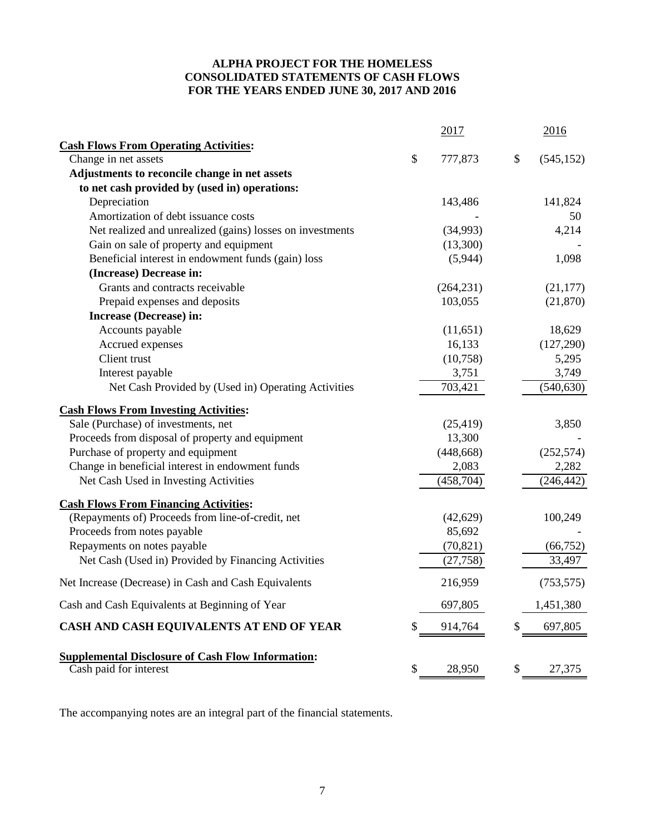## **ALPHA PROJECT FOR THE HOMELESS CONSOLIDATED STATEMENTS OF CASH FLOWS FOR THE YEARS ENDED JUNE 30, 2017 AND 2016**

|                                                                                    | 2017          | 2016             |
|------------------------------------------------------------------------------------|---------------|------------------|
| <b>Cash Flows From Operating Activities:</b>                                       |               |                  |
| Change in net assets                                                               | \$<br>777,873 | \$<br>(545, 152) |
| Adjustments to reconcile change in net assets                                      |               |                  |
| to net cash provided by (used in) operations:                                      |               |                  |
| Depreciation                                                                       | 143,486       | 141,824          |
| Amortization of debt issuance costs                                                |               | 50               |
| Net realized and unrealized (gains) losses on investments                          | (34,993)      | 4,214            |
| Gain on sale of property and equipment                                             | (13,300)      |                  |
| Beneficial interest in endowment funds (gain) loss                                 | (5,944)       | 1,098            |
| (Increase) Decrease in:                                                            |               |                  |
| Grants and contracts receivable                                                    | (264, 231)    | (21, 177)        |
| Prepaid expenses and deposits                                                      | 103,055       | (21, 870)        |
| Increase (Decrease) in:                                                            |               |                  |
| Accounts payable                                                                   | (11,651)      | 18,629           |
| Accrued expenses                                                                   | 16,133        | (127, 290)       |
| Client trust                                                                       | (10,758)      | 5,295            |
| Interest payable                                                                   | 3,751         | 3,749            |
| Net Cash Provided by (Used in) Operating Activities                                | 703,421       | (540, 630)       |
| <b>Cash Flows From Investing Activities:</b>                                       |               |                  |
| Sale (Purchase) of investments, net                                                | (25, 419)     | 3,850            |
| Proceeds from disposal of property and equipment                                   | 13,300        |                  |
| Purchase of property and equipment                                                 | (448, 668)    | (252, 574)       |
| Change in beneficial interest in endowment funds                                   | 2,083         | 2,282            |
| Net Cash Used in Investing Activities                                              | (458, 704)    | (246, 442)       |
| <b>Cash Flows From Financing Activities:</b>                                       |               |                  |
| (Repayments of) Proceeds from line-of-credit, net                                  | (42, 629)     | 100,249          |
| Proceeds from notes payable                                                        | 85,692        |                  |
| Repayments on notes payable                                                        | (70, 821)     | (66, 752)        |
| Net Cash (Used in) Provided by Financing Activities                                | (27, 758)     | 33,497           |
| Net Increase (Decrease) in Cash and Cash Equivalents                               | 216,959       | (753, 575)       |
| Cash and Cash Equivalents at Beginning of Year                                     | 697,805       | 1,451,380        |
| CASH AND CASH EQUIVALENTS AT END OF YEAR                                           | \$<br>914,764 | \$<br>697,805    |
| <b>Supplemental Disclosure of Cash Flow Information:</b><br>Cash paid for interest | \$<br>28,950  | \$<br>27,375     |
|                                                                                    |               |                  |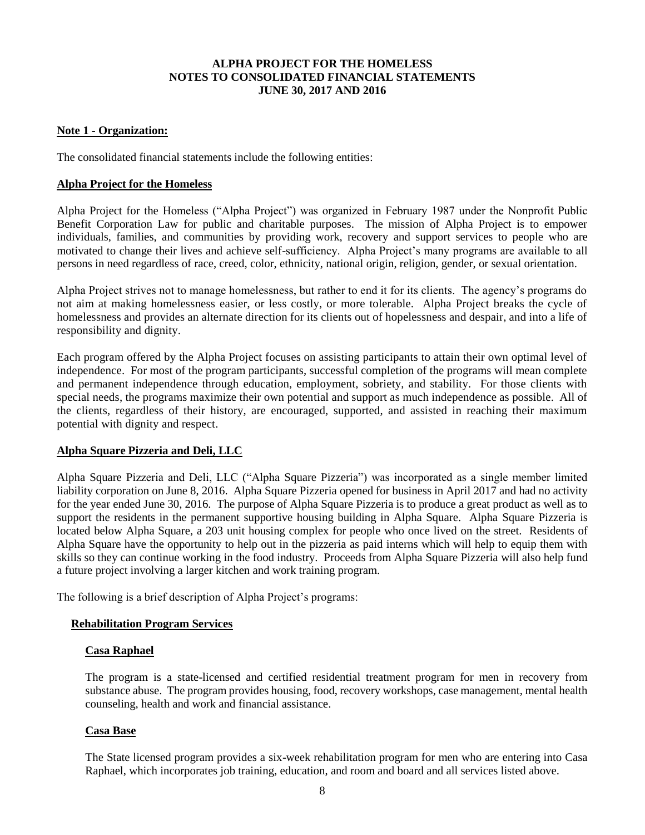## **Note 1 - Organization:**

The consolidated financial statements include the following entities:

## **Alpha Project for the Homeless**

Alpha Project for the Homeless ("Alpha Project") was organized in February 1987 under the Nonprofit Public Benefit Corporation Law for public and charitable purposes. The mission of Alpha Project is to empower individuals, families, and communities by providing work, recovery and support services to people who are motivated to change their lives and achieve self-sufficiency. Alpha Project's many programs are available to all persons in need regardless of race, creed, color, ethnicity, national origin, religion, gender, or sexual orientation.

Alpha Project strives not to manage homelessness, but rather to end it for its clients. The agency's programs do not aim at making homelessness easier, or less costly, or more tolerable. Alpha Project breaks the cycle of homelessness and provides an alternate direction for its clients out of hopelessness and despair, and into a life of responsibility and dignity.

Each program offered by the Alpha Project focuses on assisting participants to attain their own optimal level of independence. For most of the program participants, successful completion of the programs will mean complete and permanent independence through education, employment, sobriety, and stability. For those clients with special needs, the programs maximize their own potential and support as much independence as possible. All of the clients, regardless of their history, are encouraged, supported, and assisted in reaching their maximum potential with dignity and respect.

#### **Alpha Square Pizzeria and Deli, LLC**

Alpha Square Pizzeria and Deli, LLC ("Alpha Square Pizzeria") was incorporated as a single member limited liability corporation on June 8, 2016. Alpha Square Pizzeria opened for business in April 2017 and had no activity for the year ended June 30, 2016. The purpose of Alpha Square Pizzeria is to produce a great product as well as to support the residents in the permanent supportive housing building in Alpha Square. Alpha Square Pizzeria is located below Alpha Square, a 203 unit housing complex for people who once lived on the street. Residents of Alpha Square have the opportunity to help out in the pizzeria as paid interns which will help to equip them with skills so they can continue working in the food industry. Proceeds from Alpha Square Pizzeria will also help fund a future project involving a larger kitchen and work training program.

The following is a brief description of Alpha Project's programs:

## **Rehabilitation Program Services**

#### **Casa Raphael**

The program is a state-licensed and certified residential treatment program for men in recovery from substance abuse. The program provides housing, food, recovery workshops, case management, mental health counseling, health and work and financial assistance.

## **Casa Base**

The State licensed program provides a six-week rehabilitation program for men who are entering into Casa Raphael, which incorporates job training, education, and room and board and all services listed above.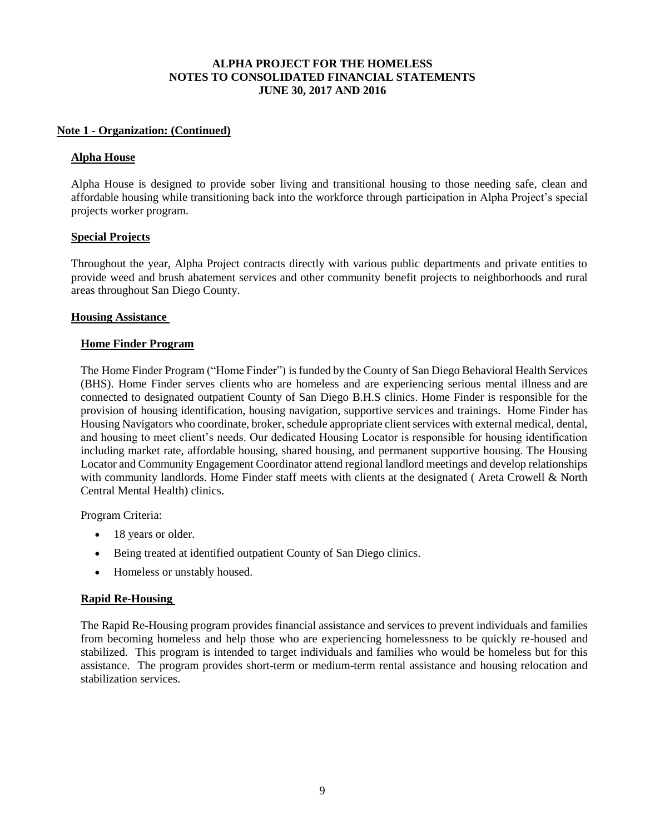#### **Note 1 - Organization: (Continued)**

#### **Alpha House**

Alpha House is designed to provide sober living and transitional housing to those needing safe, clean and affordable housing while transitioning back into the workforce through participation in Alpha Project's special projects worker program.

#### **Special Projects**

Throughout the year, Alpha Project contracts directly with various public departments and private entities to provide weed and brush abatement services and other community benefit projects to neighborhoods and rural areas throughout San Diego County.

#### **Housing Assistance**

#### **Home Finder Program**

The Home Finder Program ("Home Finder") is funded by the County of San Diego Behavioral Health Services (BHS). Home Finder serves clients who are homeless and are experiencing serious mental illness and are connected to designated outpatient County of San Diego B.H.S clinics. Home Finder is responsible for the provision of housing identification, housing navigation, supportive services and trainings. Home Finder has Housing Navigators who coordinate, broker, schedule appropriate client services with external medical, dental, and housing to meet client's needs. Our dedicated Housing Locator is responsible for housing identification including market rate, affordable housing, shared housing, and permanent supportive housing. The Housing Locator and Community Engagement Coordinator attend regional landlord meetings and develop relationships with community landlords. Home Finder staff meets with clients at the designated (Areta Crowell & North Central Mental Health) clinics.

Program Criteria:

- 18 years or older.
- Being treated at identified outpatient County of San Diego clinics.
- Homeless or unstably housed.

## **Rapid Re-Housing**

The Rapid Re-Housing program provides financial assistance and services to prevent individuals and families from becoming homeless and help those who are experiencing homelessness to be quickly re-housed and stabilized. This program is intended to target individuals and families who would be homeless but for this assistance. The program provides short-term or medium-term rental assistance and housing relocation and stabilization services.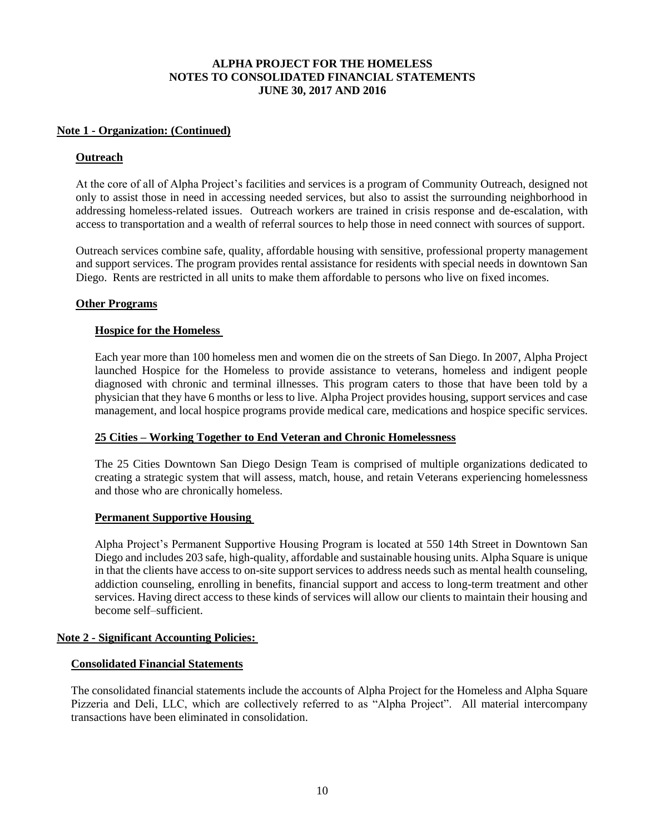#### **Note 1 - Organization: (Continued)**

#### **Outreach**

At the core of all of Alpha Project's facilities and services is a program of Community Outreach, designed not only to assist those in need in accessing needed services, but also to assist the surrounding neighborhood in addressing homeless-related issues. Outreach workers are trained in crisis response and de-escalation, with access to transportation and a wealth of referral sources to help those in need connect with sources of support.

Outreach services combine safe, quality, affordable housing with sensitive, professional property management and support services. The program provides rental assistance for residents with special needs in downtown San Diego. Rents are restricted in all units to make them affordable to persons who live on fixed incomes.

#### **Other Programs**

#### **Hospice for the Homeless**

Each year more than 100 homeless men and women die on the streets of San Diego. In 2007, Alpha Project launched Hospice for the Homeless to provide assistance to veterans, homeless and indigent people diagnosed with chronic and terminal illnesses. This program caters to those that have been told by a physician that they have 6 months or less to live. Alpha Project provides housing, support services and case management, and local hospice programs provide medical care, medications and hospice specific services.

## **25 Cities – Working Together to End Veteran and Chronic Homelessness**

The 25 Cities Downtown San Diego Design Team is comprised of multiple organizations dedicated to creating a strategic system that will assess, match, house, and retain Veterans experiencing homelessness and those who are chronically homeless.

#### **Permanent Supportive Housing**

Alpha Project's Permanent Supportive Housing Program is located at 550 14th Street in Downtown San Diego and includes 203 safe, high-quality, affordable and sustainable housing units. Alpha Square is unique in that the clients have access to on-site support services to address needs such as mental health counseling, addiction counseling, enrolling in benefits, financial support and access to long-term treatment and other services. Having direct access to these kinds of services will allow our clients to maintain their housing and become self–sufficient.

## **Note 2 - Significant Accounting Policies:**

#### **Consolidated Financial Statements**

The consolidated financial statements include the accounts of Alpha Project for the Homeless and Alpha Square Pizzeria and Deli, LLC, which are collectively referred to as "Alpha Project". All material intercompany transactions have been eliminated in consolidation.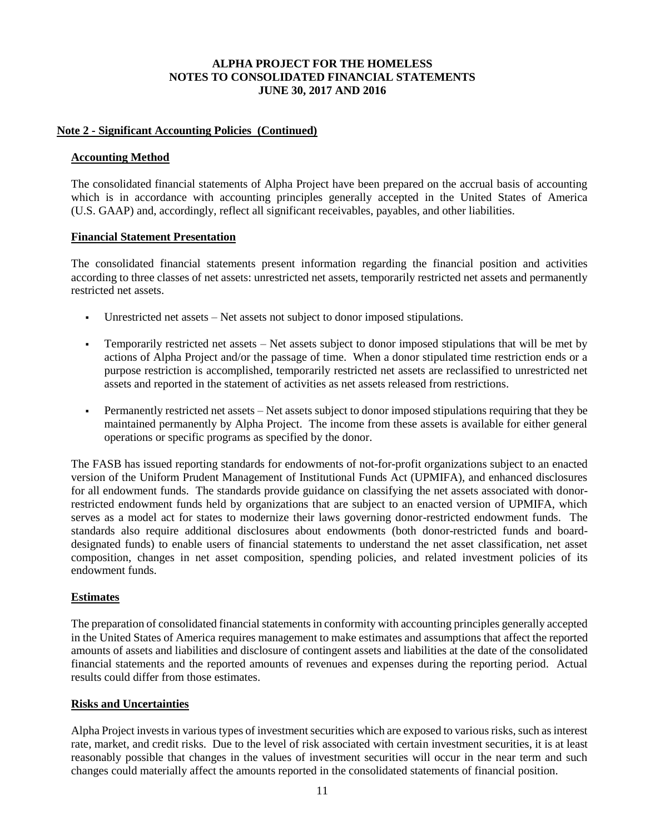## **Note 2 - Significant Accounting Policies (Continued)**

#### **Accounting Method**

The consolidated financial statements of Alpha Project have been prepared on the accrual basis of accounting which is in accordance with accounting principles generally accepted in the United States of America (U.S. GAAP) and, accordingly, reflect all significant receivables, payables, and other liabilities.

#### **Financial Statement Presentation**

The consolidated financial statements present information regarding the financial position and activities according to three classes of net assets: unrestricted net assets, temporarily restricted net assets and permanently restricted net assets.

- Unrestricted net assets Net assets not subject to donor imposed stipulations.
- Temporarily restricted net assets Net assets subject to donor imposed stipulations that will be met by actions of Alpha Project and/or the passage of time. When a donor stipulated time restriction ends or a purpose restriction is accomplished, temporarily restricted net assets are reclassified to unrestricted net assets and reported in the statement of activities as net assets released from restrictions.
- Permanently restricted net assets Net assets subject to donor imposed stipulations requiring that they be maintained permanently by Alpha Project. The income from these assets is available for either general operations or specific programs as specified by the donor.

The FASB has issued reporting standards for endowments of not-for-profit organizations subject to an enacted version of the Uniform Prudent Management of Institutional Funds Act (UPMIFA), and enhanced disclosures for all endowment funds. The standards provide guidance on classifying the net assets associated with donorrestricted endowment funds held by organizations that are subject to an enacted version of UPMIFA, which serves as a model act for states to modernize their laws governing donor-restricted endowment funds. The standards also require additional disclosures about endowments (both donor-restricted funds and boarddesignated funds) to enable users of financial statements to understand the net asset classification, net asset composition, changes in net asset composition, spending policies, and related investment policies of its endowment funds.

## **Estimates**

The preparation of consolidated financial statements in conformity with accounting principles generally accepted in the United States of America requires management to make estimates and assumptions that affect the reported amounts of assets and liabilities and disclosure of contingent assets and liabilities at the date of the consolidated financial statements and the reported amounts of revenues and expenses during the reporting period. Actual results could differ from those estimates.

## **Risks and Uncertainties**

Alpha Project invests in various types of investment securities which are exposed to various risks, such as interest rate, market, and credit risks. Due to the level of risk associated with certain investment securities, it is at least reasonably possible that changes in the values of investment securities will occur in the near term and such changes could materially affect the amounts reported in the consolidated statements of financial position.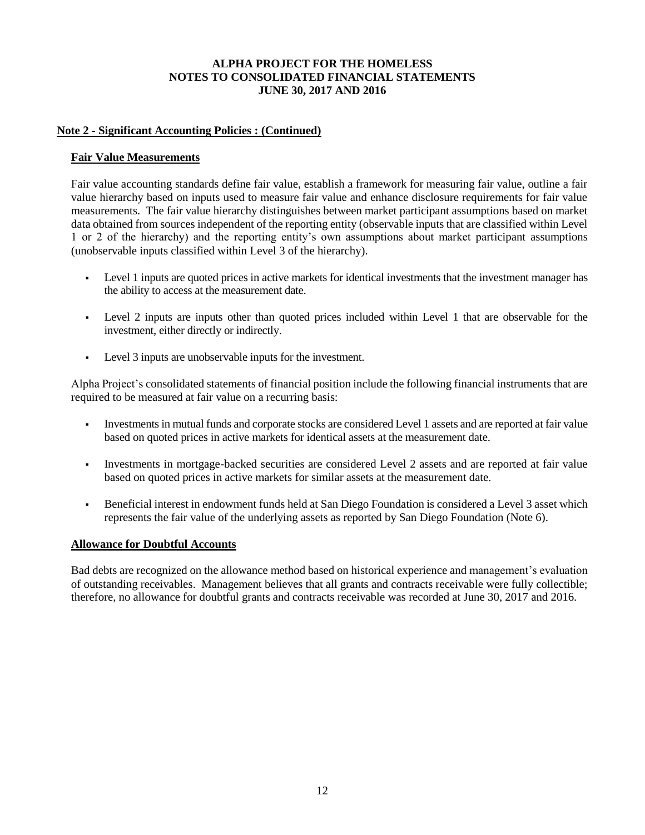## **Note 2 - Significant Accounting Policies : (Continued)**

## **Fair Value Measurements**

Fair value accounting standards define fair value, establish a framework for measuring fair value, outline a fair value hierarchy based on inputs used to measure fair value and enhance disclosure requirements for fair value measurements. The fair value hierarchy distinguishes between market participant assumptions based on market data obtained from sources independent of the reporting entity (observable inputs that are classified within Level 1 or 2 of the hierarchy) and the reporting entity's own assumptions about market participant assumptions (unobservable inputs classified within Level 3 of the hierarchy).

- Level 1 inputs are quoted prices in active markets for identical investments that the investment manager has the ability to access at the measurement date.
- Level 2 inputs are inputs other than quoted prices included within Level 1 that are observable for the investment, either directly or indirectly.
- Level 3 inputs are unobservable inputs for the investment.

Alpha Project's consolidated statements of financial position include the following financial instruments that are required to be measured at fair value on a recurring basis:

- Investments in mutual funds and corporate stocks are considered Level 1 assets and are reported at fair value based on quoted prices in active markets for identical assets at the measurement date.
- Investments in mortgage-backed securities are considered Level 2 assets and are reported at fair value based on quoted prices in active markets for similar assets at the measurement date.
- Beneficial interest in endowment funds held at San Diego Foundation is considered a Level 3 asset which represents the fair value of the underlying assets as reported by San Diego Foundation (Note 6).

## **Allowance for Doubtful Accounts**

Bad debts are recognized on the allowance method based on historical experience and management's evaluation of outstanding receivables. Management believes that all grants and contracts receivable were fully collectible; therefore, no allowance for doubtful grants and contracts receivable was recorded at June 30, 2017 and 2016.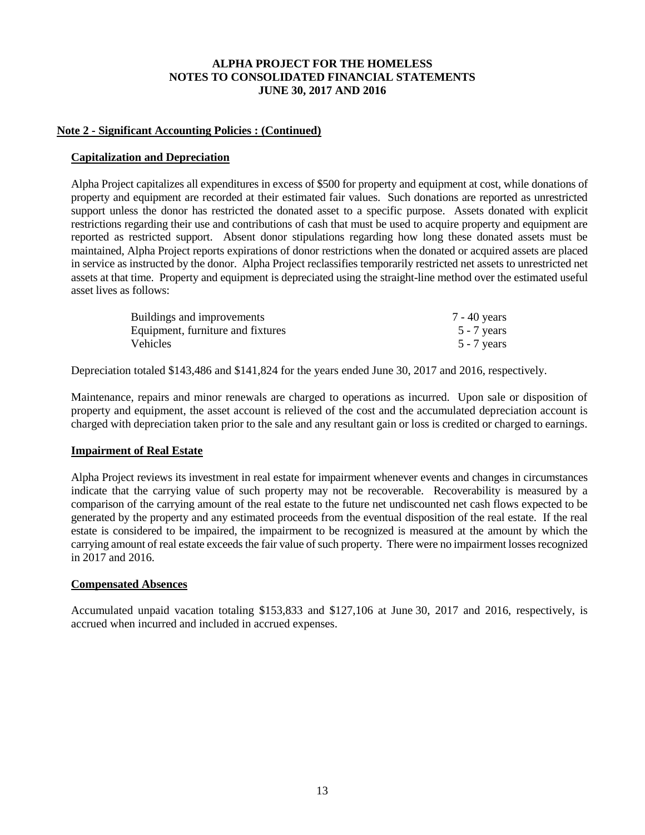## **Note 2 - Significant Accounting Policies : (Continued)**

#### **Capitalization and Depreciation**

Alpha Project capitalizes all expenditures in excess of \$500 for property and equipment at cost, while donations of property and equipment are recorded at their estimated fair values. Such donations are reported as unrestricted support unless the donor has restricted the donated asset to a specific purpose. Assets donated with explicit restrictions regarding their use and contributions of cash that must be used to acquire property and equipment are reported as restricted support. Absent donor stipulations regarding how long these donated assets must be maintained, Alpha Project reports expirations of donor restrictions when the donated or acquired assets are placed in service as instructed by the donor. Alpha Project reclassifies temporarily restricted net assets to unrestricted net assets at that time. Property and equipment is depreciated using the straight-line method over the estimated useful asset lives as follows:

| Buildings and improvements        | 7 - 40 years |
|-----------------------------------|--------------|
| Equipment, furniture and fixtures | 5 - 7 years  |
| Vehicles                          | 5 - 7 years  |

Depreciation totaled \$143,486 and \$141,824 for the years ended June 30, 2017 and 2016, respectively.

Maintenance, repairs and minor renewals are charged to operations as incurred. Upon sale or disposition of property and equipment, the asset account is relieved of the cost and the accumulated depreciation account is charged with depreciation taken prior to the sale and any resultant gain or loss is credited or charged to earnings.

#### **Impairment of Real Estate**

Alpha Project reviews its investment in real estate for impairment whenever events and changes in circumstances indicate that the carrying value of such property may not be recoverable. Recoverability is measured by a comparison of the carrying amount of the real estate to the future net undiscounted net cash flows expected to be generated by the property and any estimated proceeds from the eventual disposition of the real estate. If the real estate is considered to be impaired, the impairment to be recognized is measured at the amount by which the carrying amount of real estate exceeds the fair value of such property. There were no impairment losses recognized in 2017 and 2016.

#### **Compensated Absences**

Accumulated unpaid vacation totaling \$153,833 and \$127,106 at June 30, 2017 and 2016, respectively, is accrued when incurred and included in accrued expenses.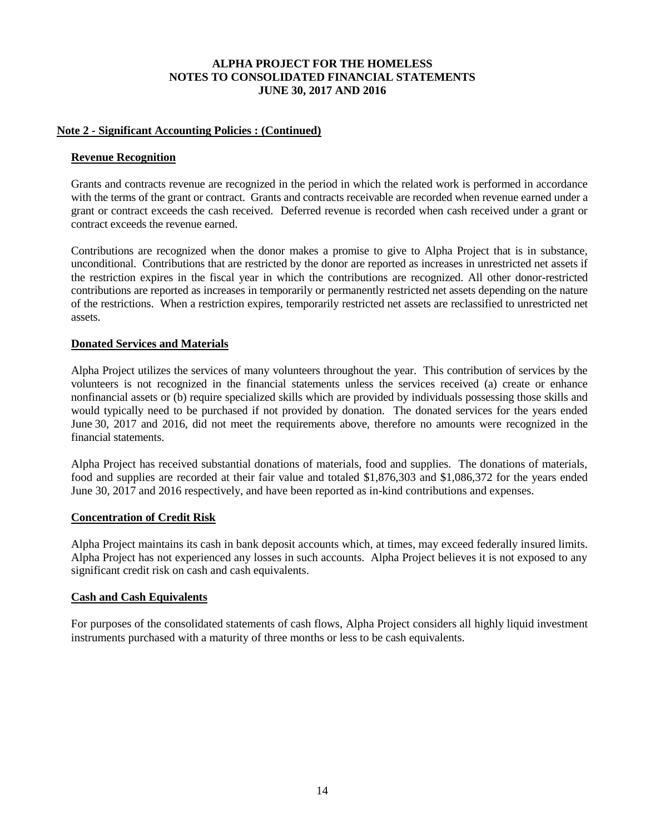## **Note 2 - Significant Accounting Policies : (Continued)**

#### **Revenue Recognition**

Grants and contracts revenue are recognized in the period in which the related work is performed in accordance with the terms of the grant or contract. Grants and contracts receivable are recorded when revenue earned under a grant or contract exceeds the cash received. Deferred revenue is recorded when cash received under a grant or contract exceeds the revenue earned.

Contributions are recognized when the donor makes a promise to give to Alpha Project that is in substance, unconditional. Contributions that are restricted by the donor are reported as increases in unrestricted net assets if the restriction expires in the fiscal year in which the contributions are recognized. All other donor-restricted contributions are reported as increases in temporarily or permanently restricted net assets depending on the nature of the restrictions. When a restriction expires, temporarily restricted net assets are reclassified to unrestricted net assets.

#### **Donated Services and Materials**

Alpha Project utilizes the services of many volunteers throughout the year. This contribution of services by the volunteers is not recognized in the financial statements unless the services received (a) create or enhance nonfinancial assets or (b) require specialized skills which are provided by individuals possessing those skills and would typically need to be purchased if not provided by donation. The donated services for the years ended June 30, 2017 and 2016, did not meet the requirements above, therefore no amounts were recognized in the financial statements.

Alpha Project has received substantial donations of materials, food and supplies. The donations of materials, food and supplies are recorded at their fair value and totaled \$1,876,303 and \$1,086,372 for the years ended June 30, 2017 and 2016 respectively, and have been reported as in-kind contributions and expenses.

## **Concentration of Credit Risk**

Alpha Project maintains its cash in bank deposit accounts which, at times, may exceed federally insured limits. Alpha Project has not experienced any losses in such accounts. Alpha Project believes it is not exposed to any significant credit risk on cash and cash equivalents.

## **Cash and Cash Equivalents**

For purposes of the consolidated statements of cash flows, Alpha Project considers all highly liquid investment instruments purchased with a maturity of three months or less to be cash equivalents.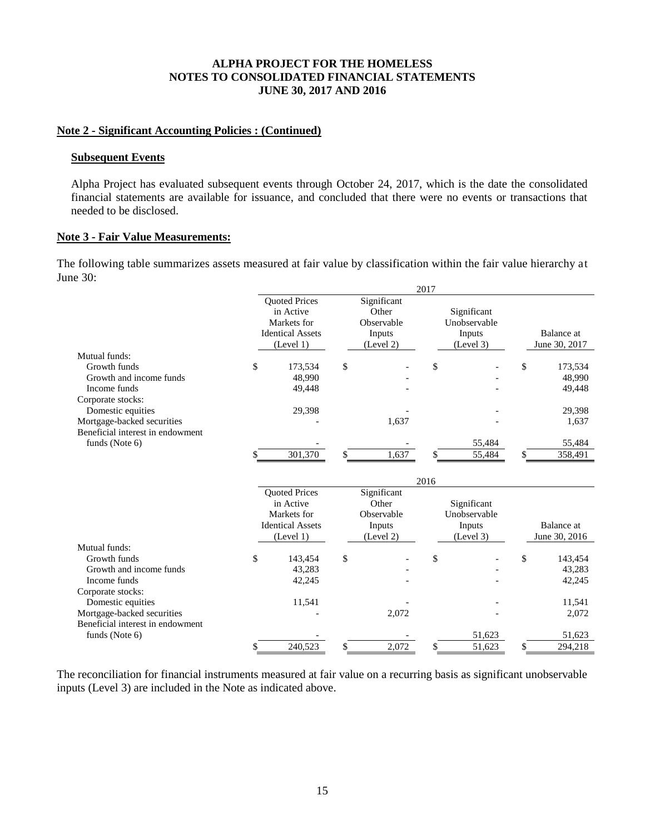## **Note 2 - Significant Accounting Policies : (Continued)**

#### **Subsequent Events**

Corporate stocks:

Alpha Project has evaluated subsequent events through October 24, 2017, which is the date the consolidated financial statements are available for issuance, and concluded that there were no events or transactions that needed to be disclosed.

#### **Note 3 - Fair Value Measurements:**

The following table summarizes assets measured at fair value by classification within the fair value hierarchy at June 30:

|                                  |                                      |                     | 2017 |                     |    |                             |
|----------------------------------|--------------------------------------|---------------------|------|---------------------|----|-----------------------------|
|                                  | <b>Quoted Prices</b>                 | Significant         |      |                     |    |                             |
|                                  | in Active                            | Other               |      | Significant         |    |                             |
|                                  | Markets for                          | Observable          |      | Unobservable        |    |                             |
|                                  | <b>Identical Assets</b><br>(Level 1) | Inputs<br>(Level 2) |      | Inputs<br>(Level 3) |    | Balance at<br>June 30, 2017 |
| Mutual funds:                    |                                      |                     |      |                     |    |                             |
| Growth funds                     | \$<br>173,534                        | \$                  | \$   |                     | \$ | 173,534                     |
| Growth and income funds          | 48,990                               |                     |      |                     |    | 48,990                      |
| Income funds                     | 49,448                               |                     |      |                     |    | 49,448                      |
| Corporate stocks:                |                                      |                     |      |                     |    |                             |
| Domestic equities                | 29,398                               |                     |      |                     |    | 29,398                      |
| Mortgage-backed securities       |                                      | 1,637               |      |                     |    | 1,637                       |
| Beneficial interest in endowment |                                      |                     |      |                     |    |                             |
| funds (Note 6)                   |                                      |                     |      | 55,484              |    | 55,484                      |
|                                  | 301,370                              | 1,637               | \$   | 55,484              | S  | 358,491                     |
|                                  |                                      |                     | 2016 |                     |    |                             |
|                                  | <b>Quoted Prices</b>                 | Significant         |      |                     |    |                             |
|                                  | in Active                            | Other               |      | Significant         |    |                             |
|                                  | Markets for                          | Observable          |      | Unobservable        |    |                             |
|                                  | <b>Identical Assets</b>              | Inputs              |      | Inputs              |    | Balance at                  |
|                                  | (Level 1)                            | (Level 2)           |      | (Level 3)           |    | June 30, 2016               |
| Mutual funds:                    |                                      |                     |      |                     |    |                             |
| Growth funds                     | \$<br>143,454                        | \$                  | \$   |                     | \$ | 143,454                     |
| Growth and income funds          | 43,283                               |                     |      |                     |    | 43,283                      |

| Mortgage-backed securities       | $\overline{\phantom{0}}$               | 2,072 |                | 2,072   |
|----------------------------------|----------------------------------------|-------|----------------|---------|
| Beneficial interest in endowment |                                        |       |                |         |
| funds (Note $6$ )                | $\overline{\phantom{0}}$               |       | 51.623         | 51,623  |
|                                  | 240.523                                | 2.072 | 51,623         | 294,218 |
|                                  |                                        |       |                |         |
| $\mathbf{a}$                     | $\mathbf{1}$ $\mathbf{2}$ $\mathbf{3}$ |       | $\cdot$ $\sim$ |         |

 $1$ Encome funds  $42,245$   $42,245$ 

Domestic equities 11,541 - 11,541 - 11,541 - 11,541

The reconciliation for financial instruments measured at fair value on a recurring basis as significant unobservable inputs (Level 3) are included in the Note as indicated above.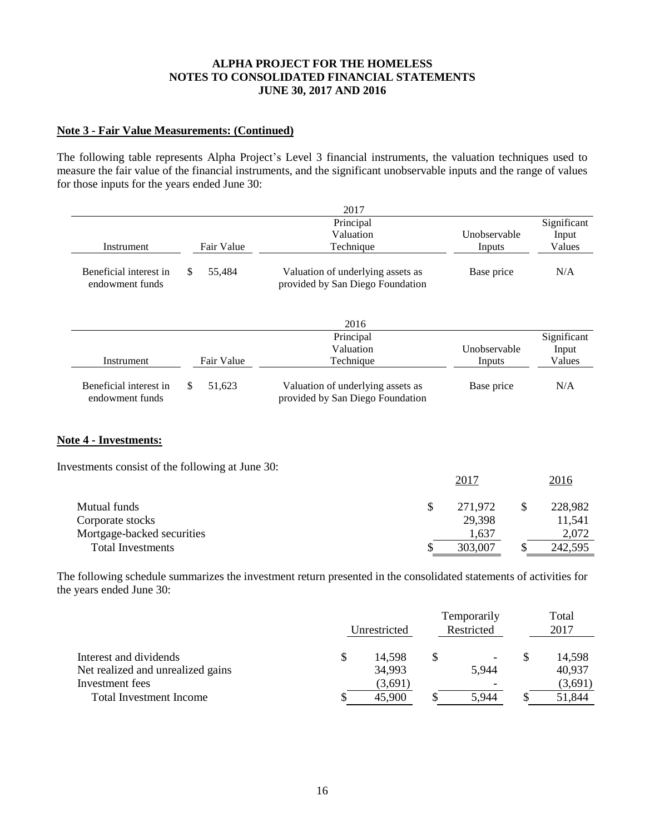#### **Note 3 - Fair Value Measurements: (Continued)**

The following table represents Alpha Project's Level 3 financial instruments, the valuation techniques used to measure the fair value of the financial instruments, and the significant unobservable inputs and the range of values for those inputs for the years ended June 30:

|                                           |               | 2017                                                                  |              |             |
|-------------------------------------------|---------------|-----------------------------------------------------------------------|--------------|-------------|
|                                           |               | Principal                                                             |              | Significant |
|                                           |               | Valuation                                                             | Unobservable | Input       |
| Instrument                                | Fair Value    | Technique                                                             | Inputs       | Values      |
| Beneficial interest in<br>endowment funds | \$.<br>55,484 | Valuation of underlying assets as<br>provided by San Diego Foundation | Base price   | N/A         |
|                                           |               | 2016                                                                  |              |             |
|                                           |               | Principal                                                             |              | Significant |
|                                           |               | Valuation                                                             | Unobservable | Input       |
| Instrument                                | Fair Value    | Technique                                                             | Inputs       | Values      |
| Beneficial interest in<br>endowment funds | \$<br>51,623  | Valuation of underlying assets as<br>provided by San Diego Foundation | Base price   | N/A         |

## **Note 4 - Investments:**

Investments consist of the following at June 30:

|                            | 2017    | 2016    |
|----------------------------|---------|---------|
| Mutual funds               | 271,972 | 228,982 |
| Corporate stocks           | 29,398  | 11,541  |
| Mortgage-backed securities | 1.637   | 2,072   |
| <b>Total Investments</b>   | 303,007 | 242,595 |

The following schedule summarizes the investment return presented in the consolidated statements of activities for the years ended June 30:

|                                   | Unrestricted | Temporarily<br>Restricted | Total<br>2017 |
|-----------------------------------|--------------|---------------------------|---------------|
| Interest and dividends            | 14,598       | $\overline{\phantom{0}}$  | 14,598        |
| Net realized and unrealized gains | 34,993       | 5,944                     | 40,937        |
| Investment fees                   | (3,691)      | $\overline{\phantom{0}}$  | (3,691)       |
| <b>Total Investment Income</b>    | 45,900       | 5.944                     | 51,844        |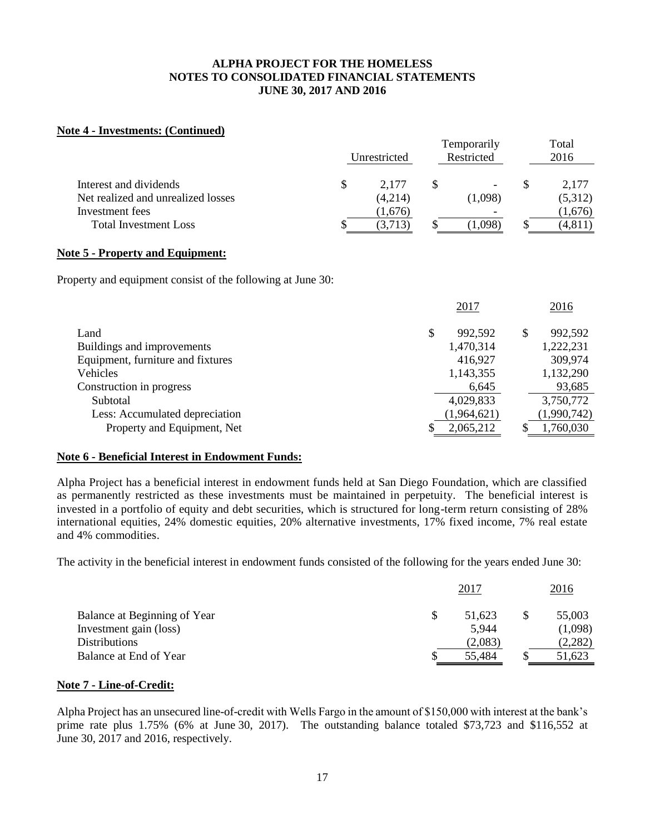#### **Note 4 - Investments: (Continued)**

|                                    | Unrestricted | Temporarily<br>Restricted | Total<br>2016            |    |         |
|------------------------------------|--------------|---------------------------|--------------------------|----|---------|
| Interest and dividends             |              | 2.177                     | -                        |    | 2,177   |
| Net realized and unrealized losses |              | (4,214)                   | (1,098)                  |    | (5,312) |
| Investment fees                    |              | (1,676)                   | $\overline{\phantom{0}}$ |    | (1,676) |
| <b>Total Investment Loss</b>       |              |                           | (1.098)                  | κD | (4,811  |

#### **Note 5 - Property and Equipment:**

Property and equipment consist of the following at June 30:

|                                   |   | 2017        |   | 2016        |
|-----------------------------------|---|-------------|---|-------------|
| Land                              | S | 992,592     | S | 992,592     |
| Buildings and improvements        |   | 1,470,314   |   | 1,222,231   |
| Equipment, furniture and fixtures |   | 416,927     |   | 309,974     |
| <b>Vehicles</b>                   |   | 1,143,355   |   | 1,132,290   |
| Construction in progress          |   | 6.645       |   | 93,685      |
| Subtotal                          |   | 4,029,833   |   | 3,750,772   |
| Less: Accumulated depreciation    |   | (1,964,621) |   | (1,990,742) |
| Property and Equipment, Net       |   | 2,065,212   |   | 1,760,030   |

## **Note 6 - Beneficial Interest in Endowment Funds:**

Alpha Project has a beneficial interest in endowment funds held at San Diego Foundation, which are classified as permanently restricted as these investments must be maintained in perpetuity. The beneficial interest is invested in a portfolio of equity and debt securities, which is structured for long-term return consisting of 28% international equities, 24% domestic equities, 20% alternative investments, 17% fixed income, 7% real estate and 4% commodities.

The activity in the beneficial interest in endowment funds consisted of the following for the years ended June 30:

|                              |  | 2016    |         |  |
|------------------------------|--|---------|---------|--|
| Balance at Beginning of Year |  | 51.623  | 55,003  |  |
| Investment gain (loss)       |  | 5,944   | (1,098) |  |
| <b>Distributions</b>         |  | (2,083) | (2,282) |  |
| Balance at End of Year       |  | 55,484  | 51,623  |  |

#### **Note 7 - Line-of-Credit:**

Alpha Project has an unsecured line-of-credit with Wells Fargo in the amount of \$150,000 with interest at the bank's prime rate plus 1.75% (6% at June 30, 2017). The outstanding balance totaled \$73,723 and \$116,552 at June 30, 2017 and 2016, respectively.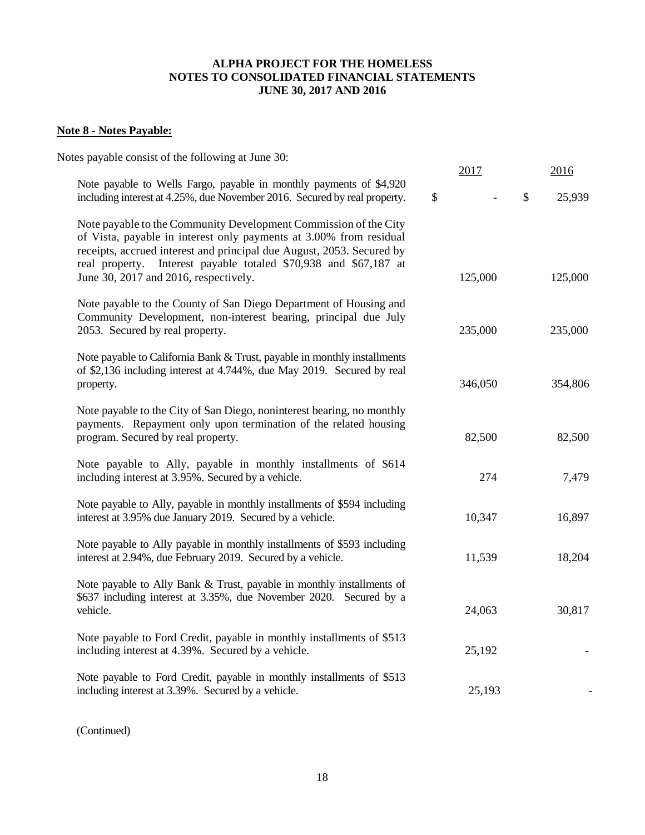## **Note 8 - Notes Payable:**

Notes payable consist of the following at June 30:

|                                                                                                                                                                                                                                                                                                                                 | 2017    | 2016         |
|---------------------------------------------------------------------------------------------------------------------------------------------------------------------------------------------------------------------------------------------------------------------------------------------------------------------------------|---------|--------------|
| Note payable to Wells Fargo, payable in monthly payments of \$4,920<br>including interest at 4.25%, due November 2016. Secured by real property.                                                                                                                                                                                | \$      | \$<br>25,939 |
| Note payable to the Community Development Commission of the City<br>of Vista, payable in interest only payments at 3.00% from residual<br>receipts, accrued interest and principal due August, 2053. Secured by<br>Interest payable totaled \$70,938 and \$67,187 at<br>real property.<br>June 30, 2017 and 2016, respectively. | 125,000 | 125,000      |
| Note payable to the County of San Diego Department of Housing and<br>Community Development, non-interest bearing, principal due July<br>2053. Secured by real property.                                                                                                                                                         | 235,000 | 235,000      |
| Note payable to California Bank & Trust, payable in monthly installments<br>of \$2,136 including interest at 4.744%, due May 2019. Secured by real<br>property.                                                                                                                                                                 | 346,050 | 354,806      |
| Note payable to the City of San Diego, noninterest bearing, no monthly<br>payments. Repayment only upon termination of the related housing<br>program. Secured by real property.                                                                                                                                                | 82,500  | 82,500       |
| Note payable to Ally, payable in monthly installments of \$614<br>including interest at 3.95%. Secured by a vehicle.                                                                                                                                                                                                            | 274     | 7,479        |
| Note payable to Ally, payable in monthly installments of \$594 including<br>interest at 3.95% due January 2019. Secured by a vehicle.                                                                                                                                                                                           | 10,347  | 16,897       |
| Note payable to Ally payable in monthly installments of \$593 including<br>interest at 2.94%, due February 2019. Secured by a vehicle.                                                                                                                                                                                          | 11,539  | 18,204       |
| Note payable to Ally Bank & Trust, payable in monthly installments of<br>\$637 including interest at 3.35%, due November 2020. Secured by a<br>vehicle.                                                                                                                                                                         | 24,063  | 30,817       |
| Note payable to Ford Credit, payable in monthly installments of \$513<br>including interest at 4.39%. Secured by a vehicle.                                                                                                                                                                                                     | 25,192  |              |
| Note payable to Ford Credit, payable in monthly installments of \$513<br>including interest at 3.39%. Secured by a vehicle.                                                                                                                                                                                                     | 25,193  |              |

(Continued)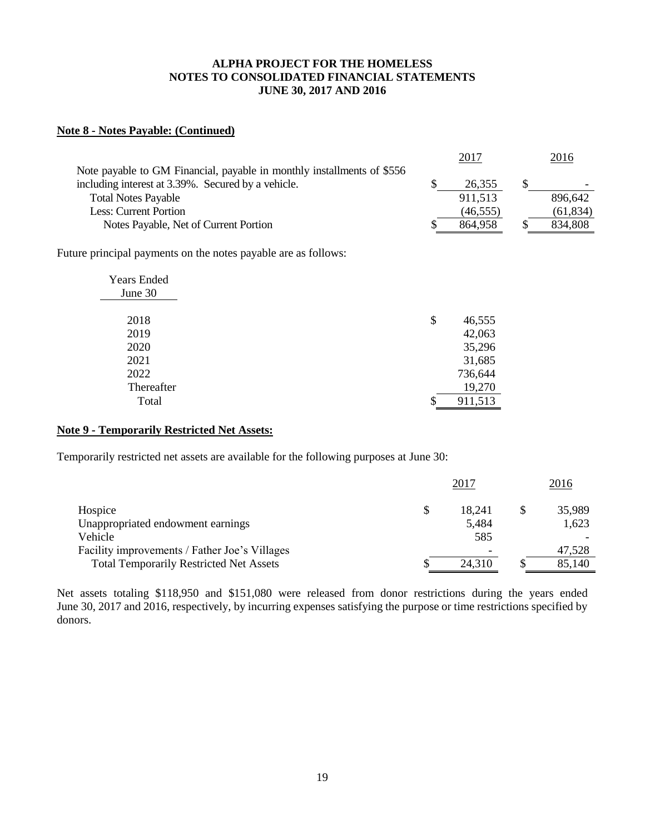## **Note 8 - Notes Payable: (Continued)**

|                                                                        | 2017         | 2016      |
|------------------------------------------------------------------------|--------------|-----------|
| Note payable to GM Financial, payable in monthly installments of \$556 |              |           |
| including interest at 3.39%. Secured by a vehicle.                     | \$<br>26,355 | \$        |
| <b>Total Notes Payable</b>                                             | 911,513      | 896,642   |
| <b>Less: Current Portion</b>                                           | (46, 555)    | (61, 834) |
| Notes Payable, Net of Current Portion                                  | 864,958      | 834,808   |
| Future principal payments on the notes payable are as follows:         |              |           |
| <b>Years Ended</b>                                                     |              |           |
| June 30                                                                |              |           |
| 2018                                                                   | \$<br>46,555 |           |
| 2019                                                                   | 42,063       |           |
| 2020                                                                   | 35,296       |           |
| 2021                                                                   | 31,685       |           |
| 2022                                                                   | 736,644      |           |
| Thereafter                                                             | 19,270       |           |
| Total                                                                  | 911,513      |           |
|                                                                        |              |           |

## **Note 9 - Temporarily Restricted Net Assets:**

Temporarily restricted net assets are available for the following purposes at June 30:

|                                                | 2017   | 2016   |
|------------------------------------------------|--------|--------|
| Hospice                                        | 18,241 | 35,989 |
| Unappropriated endowment earnings              | 5,484  | 1,623  |
| Vehicle                                        | 585    |        |
| Facility improvements / Father Joe's Villages  |        | 47,528 |
| <b>Total Temporarily Restricted Net Assets</b> | 24,310 | 85,140 |

Net assets totaling \$118,950 and \$151,080 were released from donor restrictions during the years ended June 30, 2017 and 2016, respectively, by incurring expenses satisfying the purpose or time restrictions specified by donors.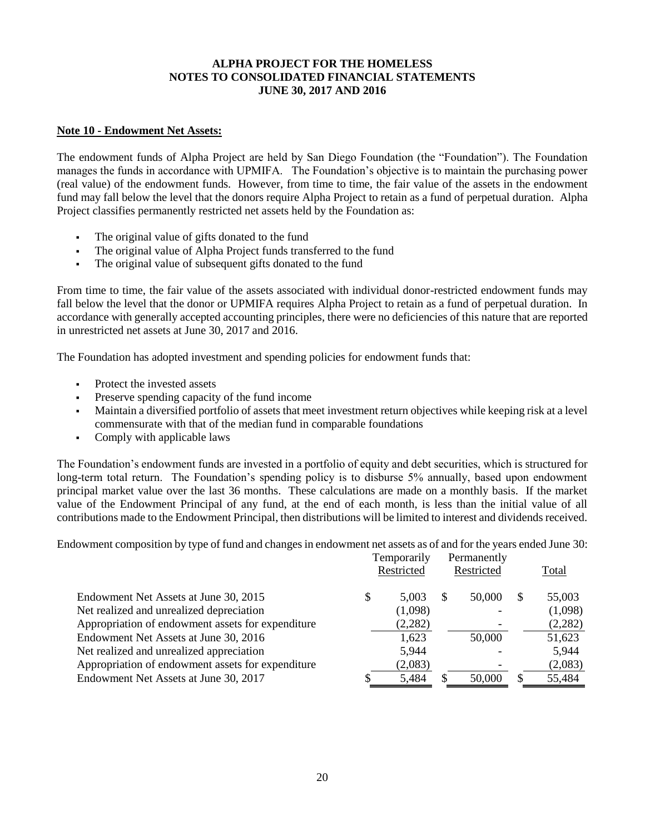#### **Note 10 - Endowment Net Assets:**

The endowment funds of Alpha Project are held by San Diego Foundation (the "Foundation"). The Foundation manages the funds in accordance with UPMIFA. The Foundation's objective is to maintain the purchasing power (real value) of the endowment funds. However, from time to time, the fair value of the assets in the endowment fund may fall below the level that the donors require Alpha Project to retain as a fund of perpetual duration. Alpha Project classifies permanently restricted net assets held by the Foundation as:

- The original value of gifts donated to the fund
- The original value of Alpha Project funds transferred to the fund
- The original value of subsequent gifts donated to the fund

From time to time, the fair value of the assets associated with individual donor-restricted endowment funds may fall below the level that the donor or UPMIFA requires Alpha Project to retain as a fund of perpetual duration. In accordance with generally accepted accounting principles, there were no deficiencies of this nature that are reported in unrestricted net assets at June 30, 2017 and 2016.

The Foundation has adopted investment and spending policies for endowment funds that:

- Protect the invested assets
- Preserve spending capacity of the fund income
- Maintain a diversified portfolio of assets that meet investment return objectives while keeping risk at a level commensurate with that of the median fund in comparable foundations
- Comply with applicable laws

The Foundation's endowment funds are invested in a portfolio of equity and debt securities, which is structured for long-term total return. The Foundation's spending policy is to disburse 5% annually, based upon endowment principal market value over the last 36 months. These calculations are made on a monthly basis. If the market value of the Endowment Principal of any fund, at the end of each month, is less than the initial value of all contributions made to the Endowment Principal, then distributions will be limited to interest and dividends received.

Endowment composition by type of fund and changes in endowment net assets as of and for the years ended June 30:

|                                                   | Temporarily<br>Restricted |   | Permanently<br>Restricted | Total    |
|---------------------------------------------------|---------------------------|---|---------------------------|----------|
| Endowment Net Assets at June 30, 2015             | 5,003                     | S | 50,000                    | 55,003   |
| Net realized and unrealized depreciation          | (1,098)                   |   |                           | (1,098)  |
| Appropriation of endowment assets for expenditure | (2, 282)                  |   |                           | (2, 282) |
| Endowment Net Assets at June 30, 2016             | 1,623                     |   | 50,000                    | 51,623   |
| Net realized and unrealized appreciation          | 5,944                     |   |                           | 5,944    |
| Appropriation of endowment assets for expenditure | (2,083)                   |   |                           | (2,083)  |
| Endowment Net Assets at June 30, 2017             | 5,484                     |   | 50,000                    | 55,484   |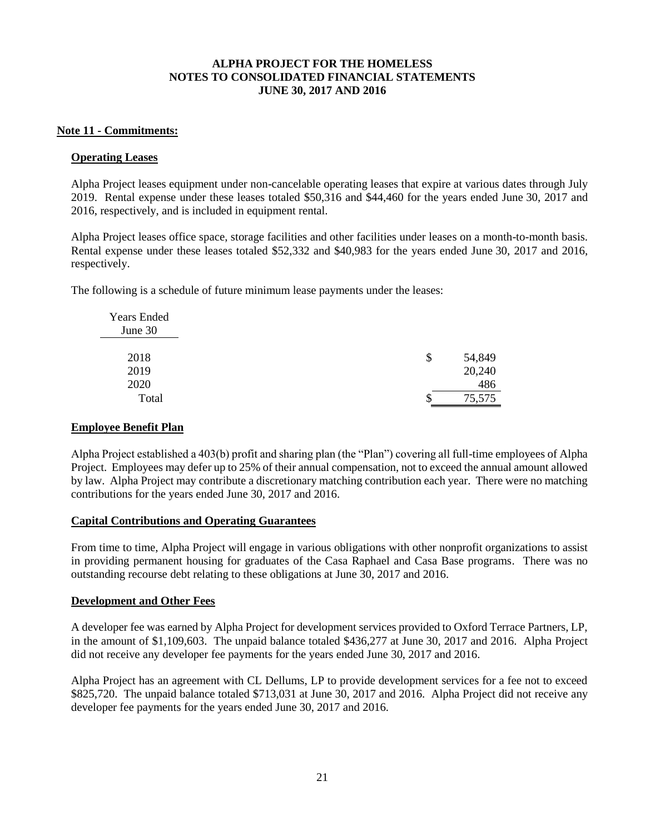#### **Note 11 - Commitments:**

#### **Operating Leases**

Alpha Project leases equipment under non-cancelable operating leases that expire at various dates through July 2019. Rental expense under these leases totaled \$50,316 and \$44,460 for the years ended June 30, 2017 and 2016, respectively, and is included in equipment rental.

Alpha Project leases office space, storage facilities and other facilities under leases on a month-to-month basis. Rental expense under these leases totaled \$52,332 and \$40,983 for the years ended June 30, 2017 and 2016, respectively.

The following is a schedule of future minimum lease payments under the leases:

| <b>Years Ended</b> |              |
|--------------------|--------------|
| June 30            |              |
|                    |              |
| 2018               | \$<br>54,849 |
| 2019               | 20,240       |
| 2020               | 486          |
| Total              | 75,575       |

## **Employee Benefit Plan**

Alpha Project established a 403(b) profit and sharing plan (the "Plan") covering all full-time employees of Alpha Project. Employees may defer up to 25% of their annual compensation, not to exceed the annual amount allowed by law. Alpha Project may contribute a discretionary matching contribution each year. There were no matching contributions for the years ended June 30, 2017 and 2016.

## **Capital Contributions and Operating Guarantees**

From time to time, Alpha Project will engage in various obligations with other nonprofit organizations to assist in providing permanent housing for graduates of the Casa Raphael and Casa Base programs. There was no outstanding recourse debt relating to these obligations at June 30, 2017 and 2016.

## **Development and Other Fees**

A developer fee was earned by Alpha Project for development services provided to Oxford Terrace Partners, LP, in the amount of \$1,109,603. The unpaid balance totaled \$436,277 at June 30, 2017 and 2016. Alpha Project did not receive any developer fee payments for the years ended June 30, 2017 and 2016.

Alpha Project has an agreement with CL Dellums, LP to provide development services for a fee not to exceed \$825,720. The unpaid balance totaled \$713,031 at June 30, 2017 and 2016. Alpha Project did not receive any developer fee payments for the years ended June 30, 2017 and 2016.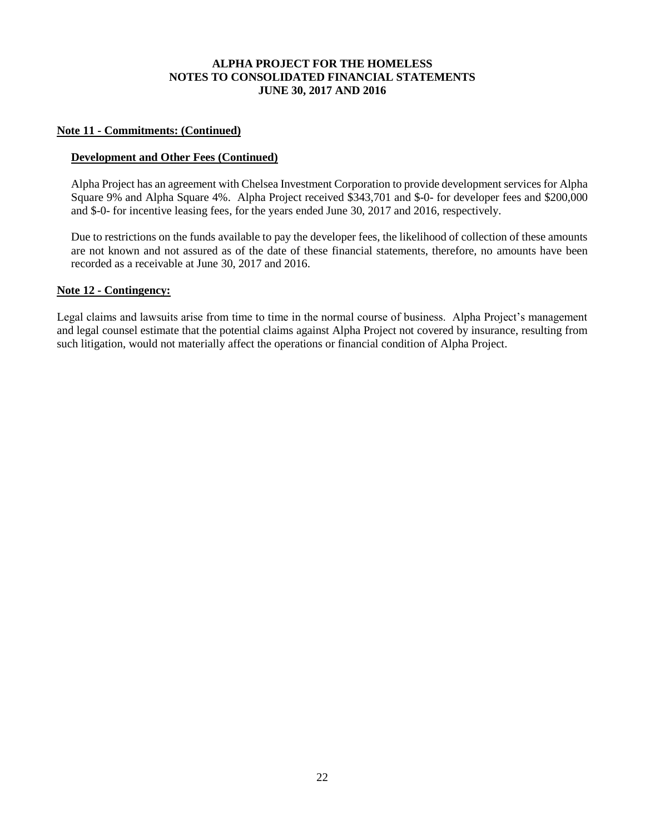#### **Note 11 - Commitments: (Continued)**

#### **Development and Other Fees (Continued)**

Alpha Project has an agreement with Chelsea Investment Corporation to provide development services for Alpha Square 9% and Alpha Square 4%. Alpha Project received \$343,701 and \$-0- for developer fees and \$200,000 and \$-0- for incentive leasing fees, for the years ended June 30, 2017 and 2016, respectively.

Due to restrictions on the funds available to pay the developer fees, the likelihood of collection of these amounts are not known and not assured as of the date of these financial statements, therefore, no amounts have been recorded as a receivable at June 30, 2017 and 2016.

#### **Note 12 - Contingency:**

Legal claims and lawsuits arise from time to time in the normal course of business. Alpha Project's management and legal counsel estimate that the potential claims against Alpha Project not covered by insurance, resulting from such litigation, would not materially affect the operations or financial condition of Alpha Project.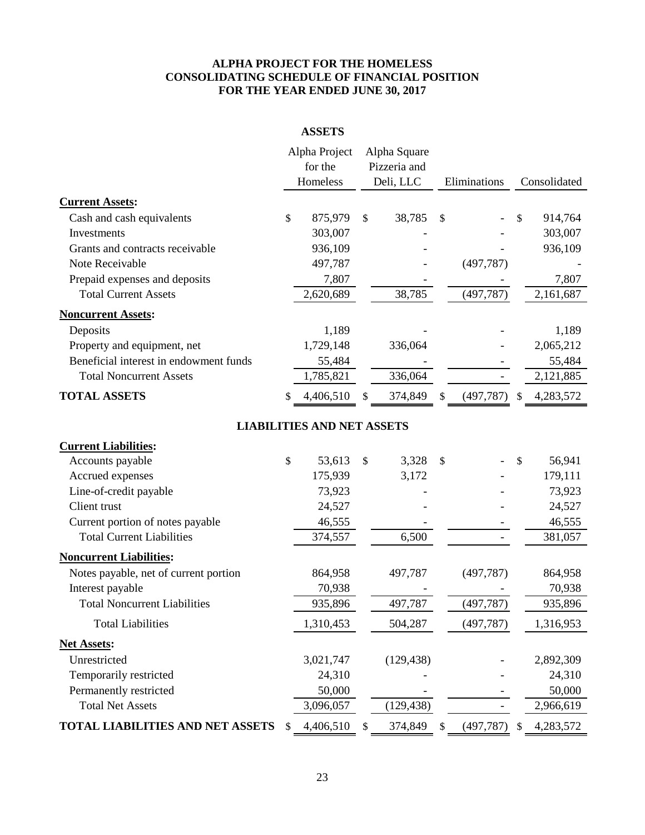## **ALPHA PROJECT FOR THE HOMELESS CONSOLIDATING SCHEDULE OF FINANCIAL POSITION FOR THE YEAR ENDED JUNE 30, 2017**

#### **ASSETS**

|                                        |    | Alpha Project |               | Alpha Square |               |              |               |              |  |
|----------------------------------------|----|---------------|---------------|--------------|---------------|--------------|---------------|--------------|--|
|                                        |    | for the       |               | Pizzeria and |               |              |               |              |  |
|                                        |    | Homeless      |               | Deli, LLC    |               | Eliminations |               | Consolidated |  |
| <b>Current Assets:</b>                 |    |               |               |              |               |              |               |              |  |
| Cash and cash equivalents              | \$ | 875,979       | \$            | 38,785       | \$            |              | \$            | 914,764      |  |
| Investments                            |    | 303,007       |               |              |               |              |               | 303,007      |  |
| Grants and contracts receivable        |    | 936,109       |               |              |               |              |               | 936,109      |  |
| Note Receivable                        |    | 497,787       |               |              |               | (497, 787)   |               |              |  |
| Prepaid expenses and deposits          |    | 7,807         |               |              |               |              |               | 7,807        |  |
| <b>Total Current Assets</b>            |    | 2,620,689     |               | 38,785       |               | (497, 787)   |               | 2,161,687    |  |
| <b>Noncurrent Assets:</b>              |    |               |               |              |               |              |               |              |  |
| Deposits                               |    | 1,189         |               |              |               |              |               | 1,189        |  |
| Property and equipment, net            |    | 1,729,148     |               | 336,064      |               |              |               | 2,065,212    |  |
| Beneficial interest in endowment funds |    | 55,484        |               |              |               |              |               | 55,484       |  |
| <b>Total Noncurrent Assets</b>         |    | 1,785,821     |               | 336,064      |               |              |               | 2,121,885    |  |
| <b>TOTAL ASSETS</b>                    | \$ | 4,406,510     | \$            | 374,849      | \$            | (497, 787)   | <sup>\$</sup> | 4,283,572    |  |
| <b>LIABILITIES AND NET ASSETS</b>      |    |               |               |              |               |              |               |              |  |
| <b>Current Liabilities:</b>            |    |               |               |              |               |              |               |              |  |
| Accounts payable                       | \$ | 53,613        | $\mathcal{S}$ | 3,328        | $\mathcal{S}$ |              | \$            | 56,941       |  |
| Accrued expenses                       |    | 175,939       |               | 3,172        |               |              |               | 179,111      |  |
| Line-of-credit payable                 |    | 73,923        |               |              |               |              |               | 73,923       |  |

| Line-of-credit payable                  | 13,923    |   |            |                       | 13,923    |
|-----------------------------------------|-----------|---|------------|-----------------------|-----------|
| Client trust                            | 24,527    |   |            |                       | 24,527    |
| Current portion of notes payable        | 46,555    |   |            |                       | 46,555    |
| <b>Total Current Liabilities</b>        | 374,557   |   | 6,500      |                       | 381,057   |
| <b>Noncurrent Liabilities:</b>          |           |   |            |                       |           |
| Notes payable, net of current portion   | 864,958   |   | 497,787    | (497, 787)            | 864,958   |
| Interest payable                        | 70,938    |   |            |                       | 70,938    |
| <b>Total Noncurrent Liabilities</b>     | 935,896   |   | 497,787    | (497, 787)            | 935,896   |
| <b>Total Liabilities</b>                | 1,310,453 |   | 504,287    | (497, 787)            | 1,316,953 |
| <b>Net Assets:</b>                      |           |   |            |                       |           |
| Unrestricted                            | 3,021,747 |   | (129, 438) |                       | 2,892,309 |
| Temporarily restricted                  | 24,310    |   |            |                       | 24,310    |
| Permanently restricted                  | 50,000    |   |            |                       | 50,000    |
| <b>Total Net Assets</b>                 | 3,096,057 |   | (129, 438) |                       | 2,966,619 |
| <b>TOTAL LIABILITIES AND NET ASSETS</b> | 4,406,510 | S | 374,849    | \$<br>(497, 787)<br>S | 4,283,572 |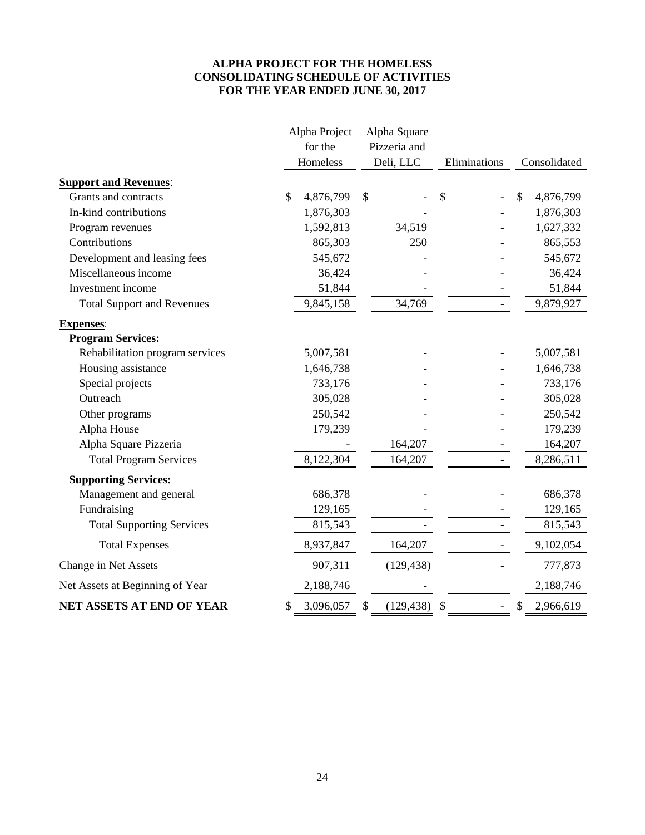## **ALPHA PROJECT FOR THE HOMELESS CONSOLIDATING SCHEDULE OF ACTIVITIES FOR THE YEAR ENDED JUNE 30, 2017**

|                                   | Alpha Project<br>for the<br>Homeless | Alpha Square<br>Pizzeria and<br>Deli, LLC | Eliminations              | Consolidated    |
|-----------------------------------|--------------------------------------|-------------------------------------------|---------------------------|-----------------|
|                                   |                                      |                                           |                           |                 |
| <b>Support and Revenues:</b>      |                                      |                                           |                           |                 |
| Grants and contracts              | $\mathbb{S}$<br>4,876,799            | \$                                        | \$                        | \$<br>4,876,799 |
| In-kind contributions             | 1,876,303                            |                                           |                           | 1,876,303       |
| Program revenues                  | 1,592,813                            | 34,519                                    |                           | 1,627,332       |
| Contributions                     | 865,303                              | 250                                       |                           | 865,553         |
| Development and leasing fees      | 545,672                              |                                           |                           | 545,672         |
| Miscellaneous income              | 36,424                               |                                           |                           | 36,424          |
| Investment income                 | 51,844                               |                                           |                           | 51,844          |
| <b>Total Support and Revenues</b> | 9,845,158                            | 34,769                                    |                           | 9,879,927       |
| <b>Expenses:</b>                  |                                      |                                           |                           |                 |
| <b>Program Services:</b>          |                                      |                                           |                           |                 |
| Rehabilitation program services   | 5,007,581                            |                                           |                           | 5,007,581       |
| Housing assistance                | 1,646,738                            |                                           |                           | 1,646,738       |
| Special projects                  | 733,176                              |                                           |                           | 733,176         |
| Outreach                          | 305,028                              |                                           |                           | 305,028         |
| Other programs                    | 250,542                              |                                           |                           | 250,542         |
| Alpha House                       | 179,239                              |                                           |                           | 179,239         |
| Alpha Square Pizzeria             |                                      | 164,207                                   |                           | 164,207         |
| <b>Total Program Services</b>     | 8,122,304                            | 164,207                                   |                           | 8,286,511       |
| <b>Supporting Services:</b>       |                                      |                                           |                           |                 |
| Management and general            | 686,378                              |                                           |                           | 686,378         |
| Fundraising                       | 129,165                              |                                           |                           | 129,165         |
| <b>Total Supporting Services</b>  | 815,543                              |                                           |                           | 815,543         |
| <b>Total Expenses</b>             | 8,937,847                            | 164,207                                   |                           | 9,102,054       |
| Change in Net Assets              | 907,311                              | (129, 438)                                |                           | 777,873         |
| Net Assets at Beginning of Year   | 2,188,746                            |                                           |                           | 2,188,746       |
| NET ASSETS AT END OF YEAR         | \$<br>3,096,057                      | \$<br>(129, 438)                          | $\boldsymbol{\mathsf{S}}$ | \$<br>2,966,619 |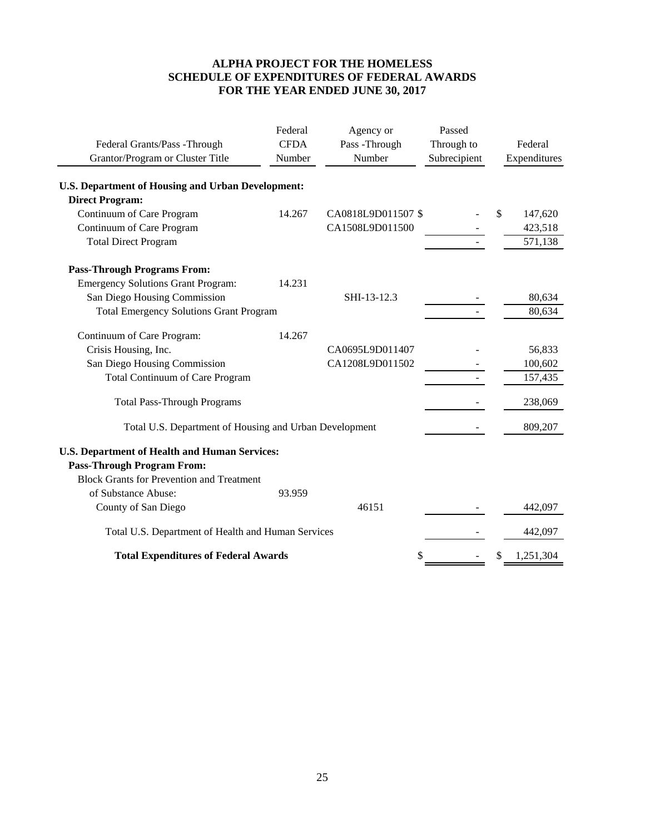## **ALPHA PROJECT FOR THE HOMELESS SCHEDULE OF EXPENDITURES OF FEDERAL AWARDS FOR THE YEAR ENDED JUNE 30, 2017**

| Federal Grants/Pass - Through<br>Grantor/Program or Cluster Title | Federal<br><b>CFDA</b><br>Number | Agency or<br>Pass - Through<br>Number | Passed<br>Through to<br>Subrecipient | Federal<br>Expenditures |
|-------------------------------------------------------------------|----------------------------------|---------------------------------------|--------------------------------------|-------------------------|
| <b>U.S. Department of Housing and Urban Development:</b>          |                                  |                                       |                                      |                         |
| <b>Direct Program:</b>                                            |                                  |                                       |                                      |                         |
| Continuum of Care Program                                         | 14.267                           | CA0818L9D011507 \$                    |                                      | \$<br>147,620           |
| Continuum of Care Program                                         |                                  | CA1508L9D011500                       |                                      | 423,518                 |
| <b>Total Direct Program</b>                                       |                                  |                                       |                                      | 571,138                 |
| <b>Pass-Through Programs From:</b>                                |                                  |                                       |                                      |                         |
| <b>Emergency Solutions Grant Program:</b>                         | 14.231                           |                                       |                                      |                         |
| San Diego Housing Commission                                      |                                  | SHI-13-12.3                           |                                      | 80,634                  |
| <b>Total Emergency Solutions Grant Program</b>                    |                                  |                                       |                                      | 80,634                  |
| Continuum of Care Program:                                        | 14.267                           |                                       |                                      |                         |
| Crisis Housing, Inc.                                              |                                  | CA0695L9D011407                       |                                      | 56,833                  |
| San Diego Housing Commission                                      |                                  | CA1208L9D011502                       |                                      | 100,602                 |
| <b>Total Continuum of Care Program</b>                            |                                  |                                       |                                      | 157,435                 |
| <b>Total Pass-Through Programs</b>                                |                                  |                                       |                                      | 238,069                 |
| Total U.S. Department of Housing and Urban Development            |                                  |                                       |                                      | 809,207                 |
| <b>U.S. Department of Health and Human Services:</b>              |                                  |                                       |                                      |                         |
| <b>Pass-Through Program From:</b>                                 |                                  |                                       |                                      |                         |
| <b>Block Grants for Prevention and Treatment</b>                  |                                  |                                       |                                      |                         |
| of Substance Abuse:                                               | 93.959                           |                                       |                                      |                         |
| County of San Diego                                               |                                  | 46151                                 |                                      | 442,097                 |
| Total U.S. Department of Health and Human Services                |                                  |                                       |                                      | 442,097                 |
| <b>Total Expenditures of Federal Awards</b>                       |                                  | \$                                    |                                      | \$<br>1,251,304         |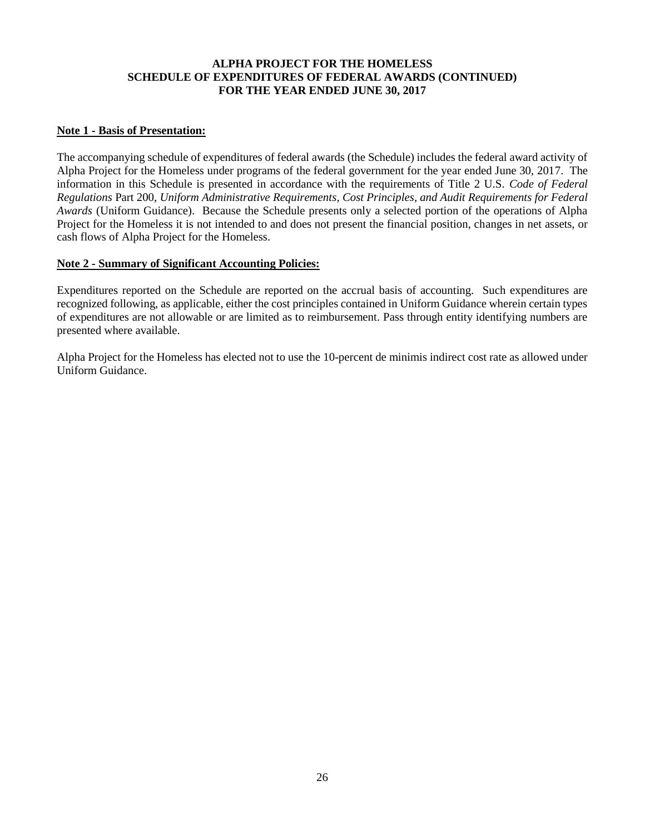## **ALPHA PROJECT FOR THE HOMELESS SCHEDULE OF EXPENDITURES OF FEDERAL AWARDS (CONTINUED) FOR THE YEAR ENDED JUNE 30, 2017**

## **Note 1 - Basis of Presentation:**

The accompanying schedule of expenditures of federal awards (the Schedule) includes the federal award activity of Alpha Project for the Homeless under programs of the federal government for the year ended June 30, 2017. The information in this Schedule is presented in accordance with the requirements of Title 2 U.S. *Code of Federal Regulations* Part 200, *Uniform Administrative Requirements, Cost Principles, and Audit Requirements for Federal Awards* (Uniform Guidance). Because the Schedule presents only a selected portion of the operations of Alpha Project for the Homeless it is not intended to and does not present the financial position, changes in net assets, or cash flows of Alpha Project for the Homeless.

## **Note 2 - Summary of Significant Accounting Policies:**

Expenditures reported on the Schedule are reported on the accrual basis of accounting. Such expenditures are recognized following, as applicable, either the cost principles contained in Uniform Guidance wherein certain types of expenditures are not allowable or are limited as to reimbursement. Pass through entity identifying numbers are presented where available.

Alpha Project for the Homeless has elected not to use the 10-percent de minimis indirect cost rate as allowed under Uniform Guidance.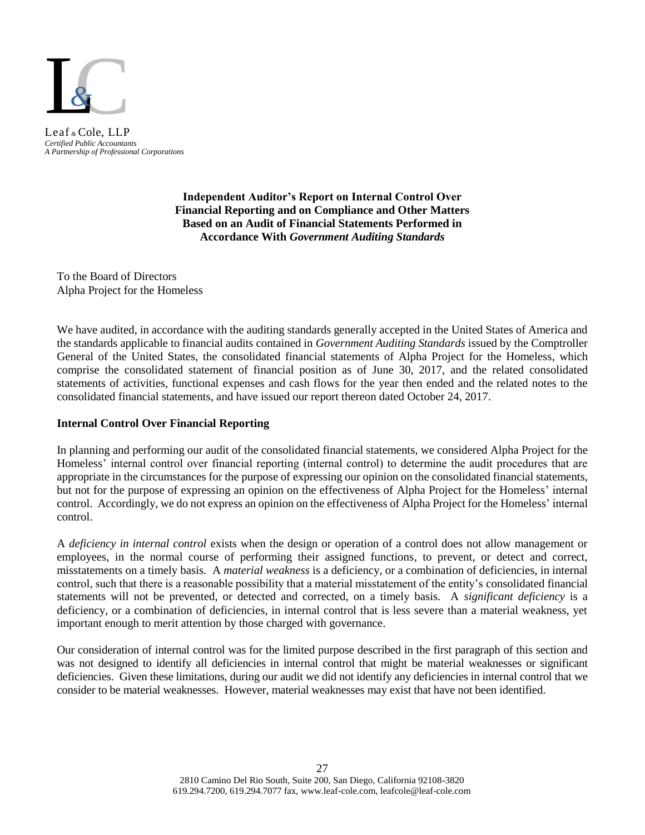

*Certified Public Accountants A Partnership of Professional Corporations*

> **Independent Auditor's Report on Internal Control Over Financial Reporting and on Compliance and Other Matters Based on an Audit of Financial Statements Performed in Accordance With** *Government Auditing Standards*

To the Board of Directors Alpha Project for the Homeless

We have audited, in accordance with the auditing standards generally accepted in the United States of America and the standards applicable to financial audits contained in *Government Auditing Standards* issued by the Comptroller General of the United States, the consolidated financial statements of Alpha Project for the Homeless, which comprise the consolidated statement of financial position as of June 30, 2017, and the related consolidated statements of activities, functional expenses and cash flows for the year then ended and the related notes to the consolidated financial statements, and have issued our report thereon dated October 24, 2017.

## **Internal Control Over Financial Reporting**

In planning and performing our audit of the consolidated financial statements, we considered Alpha Project for the Homeless' internal control over financial reporting (internal control) to determine the audit procedures that are appropriate in the circumstances for the purpose of expressing our opinion on the consolidated financial statements, but not for the purpose of expressing an opinion on the effectiveness of Alpha Project for the Homeless' internal control. Accordingly, we do not express an opinion on the effectiveness of Alpha Project for the Homeless' internal control.

A *deficiency in internal control* exists when the design or operation of a control does not allow management or employees, in the normal course of performing their assigned functions, to prevent, or detect and correct, misstatements on a timely basis. A *material weakness* is a deficiency, or a combination of deficiencies, in internal control, such that there is a reasonable possibility that a material misstatement of the entity's consolidated financial statements will not be prevented, or detected and corrected, on a timely basis. A *significant deficiency* is a deficiency, or a combination of deficiencies, in internal control that is less severe than a material weakness, yet important enough to merit attention by those charged with governance.

Our consideration of internal control was for the limited purpose described in the first paragraph of this section and was not designed to identify all deficiencies in internal control that might be material weaknesses or significant deficiencies. Given these limitations, during our audit we did not identify any deficiencies in internal control that we consider to be material weaknesses. However, material weaknesses may exist that have not been identified.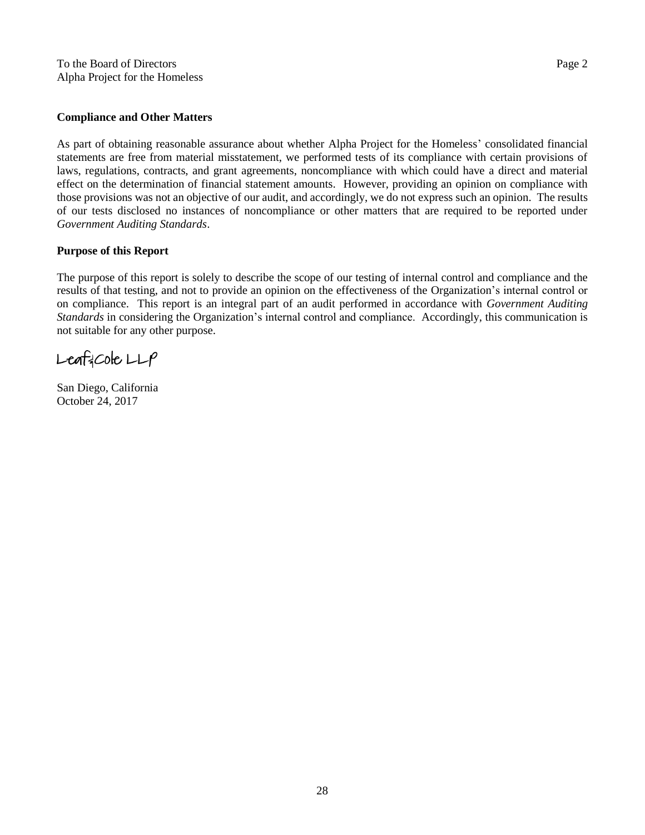#### **Compliance and Other Matters**

As part of obtaining reasonable assurance about whether Alpha Project for the Homeless' consolidated financial statements are free from material misstatement, we performed tests of its compliance with certain provisions of laws, regulations, contracts, and grant agreements, noncompliance with which could have a direct and material effect on the determination of financial statement amounts. However, providing an opinion on compliance with those provisions was not an objective of our audit, and accordingly, we do not express such an opinion. The results of our tests disclosed no instances of noncompliance or other matters that are required to be reported under *Government Auditing Standards*.

#### **Purpose of this Report**

The purpose of this report is solely to describe the scope of our testing of internal control and compliance and the results of that testing, and not to provide an opinion on the effectiveness of the Organization's internal control or on compliance. This report is an integral part of an audit performed in accordance with *Government Auditing Standards* in considering the Organization's internal control and compliance. Accordingly, this communication is not suitable for any other purpose.

 $L$ eaf $2C$ ole  $LLP$ 

San Diego, California October 24, 2017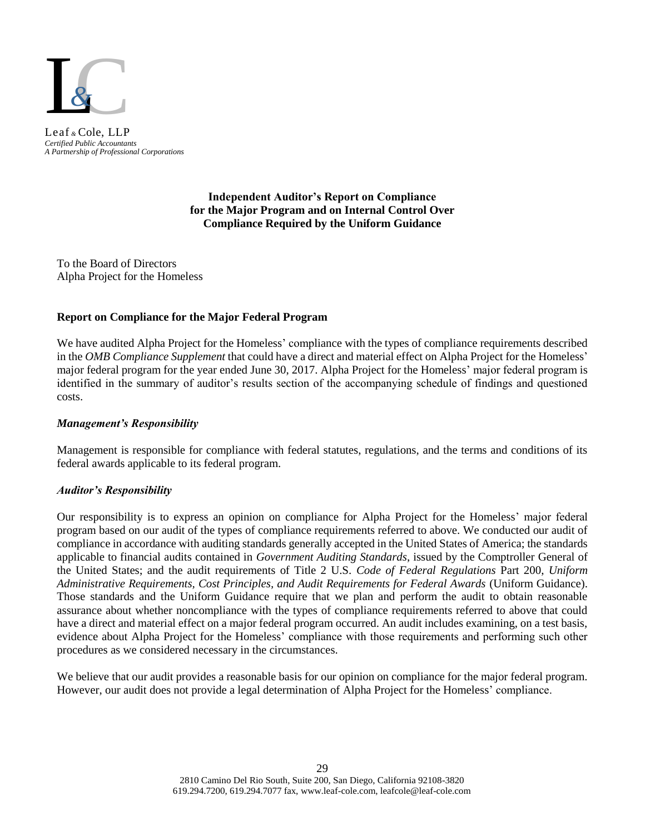

*Certified Public Accountants A Partnership of Professional Corporations*

> **Independent Auditor's Report on Compliance for the Major Program and on Internal Control Over Compliance Required by the Uniform Guidance**

To the Board of Directors Alpha Project for the Homeless

## **Report on Compliance for the Major Federal Program**

We have audited Alpha Project for the Homeless' compliance with the types of compliance requirements described in the *OMB Compliance Supplement* that could have a direct and material effect on Alpha Project for the Homeless' major federal program for the year ended June 30, 2017. Alpha Project for the Homeless' major federal program is identified in the summary of auditor's results section of the accompanying schedule of findings and questioned costs.

## *Management's Responsibility*

Management is responsible for compliance with federal statutes, regulations, and the terms and conditions of its federal awards applicable to its federal program.

## *Auditor's Responsibility*

Our responsibility is to express an opinion on compliance for Alpha Project for the Homeless' major federal program based on our audit of the types of compliance requirements referred to above. We conducted our audit of compliance in accordance with auditing standards generally accepted in the United States of America; the standards applicable to financial audits contained in *Government Auditing Standards*, issued by the Comptroller General of the United States; and the audit requirements of Title 2 U.S. *Code of Federal Regulations* Part 200, *Uniform Administrative Requirements, Cost Principles, and Audit Requirements for Federal Awards* (Uniform Guidance). Those standards and the Uniform Guidance require that we plan and perform the audit to obtain reasonable assurance about whether noncompliance with the types of compliance requirements referred to above that could have a direct and material effect on a major federal program occurred. An audit includes examining, on a test basis, evidence about Alpha Project for the Homeless' compliance with those requirements and performing such other procedures as we considered necessary in the circumstances.

We believe that our audit provides a reasonable basis for our opinion on compliance for the major federal program. However, our audit does not provide a legal determination of Alpha Project for the Homeless' compliance.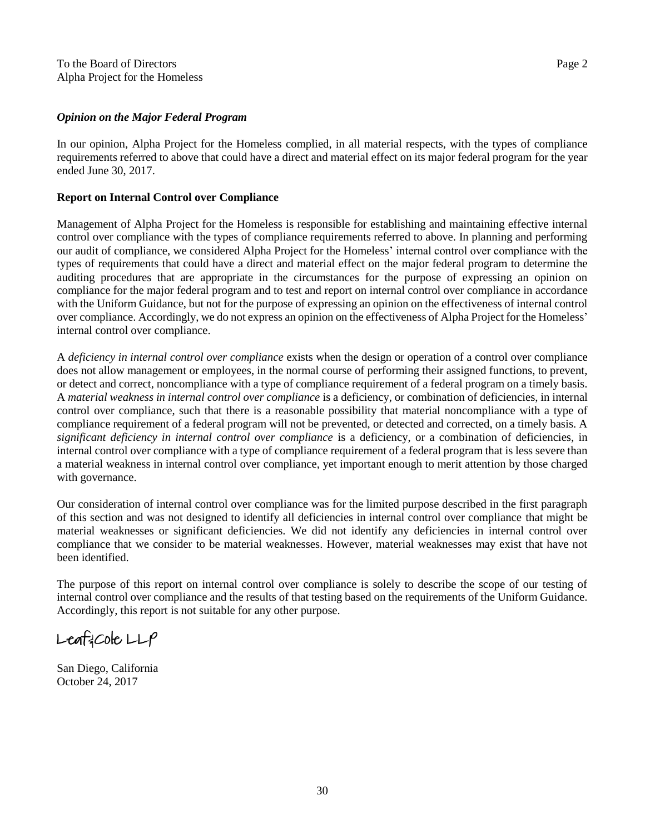#### *Opinion on the Major Federal Program*

In our opinion, Alpha Project for the Homeless complied, in all material respects, with the types of compliance requirements referred to above that could have a direct and material effect on its major federal program for the year ended June 30, 2017.

#### **Report on Internal Control over Compliance**

Management of Alpha Project for the Homeless is responsible for establishing and maintaining effective internal control over compliance with the types of compliance requirements referred to above. In planning and performing our audit of compliance, we considered Alpha Project for the Homeless' internal control over compliance with the types of requirements that could have a direct and material effect on the major federal program to determine the auditing procedures that are appropriate in the circumstances for the purpose of expressing an opinion on compliance for the major federal program and to test and report on internal control over compliance in accordance with the Uniform Guidance, but not for the purpose of expressing an opinion on the effectiveness of internal control over compliance. Accordingly, we do not express an opinion on the effectiveness of Alpha Project for the Homeless' internal control over compliance.

A *deficiency in internal control over compliance* exists when the design or operation of a control over compliance does not allow management or employees, in the normal course of performing their assigned functions, to prevent, or detect and correct, noncompliance with a type of compliance requirement of a federal program on a timely basis. A *material weakness in internal control over compliance* is a deficiency, or combination of deficiencies, in internal control over compliance, such that there is a reasonable possibility that material noncompliance with a type of compliance requirement of a federal program will not be prevented, or detected and corrected, on a timely basis. A *significant deficiency in internal control over compliance* is a deficiency, or a combination of deficiencies, in internal control over compliance with a type of compliance requirement of a federal program that is less severe than a material weakness in internal control over compliance, yet important enough to merit attention by those charged with governance.

Our consideration of internal control over compliance was for the limited purpose described in the first paragraph of this section and was not designed to identify all deficiencies in internal control over compliance that might be material weaknesses or significant deficiencies. We did not identify any deficiencies in internal control over compliance that we consider to be material weaknesses. However, material weaknesses may exist that have not been identified.

The purpose of this report on internal control over compliance is solely to describe the scope of our testing of internal control over compliance and the results of that testing based on the requirements of the Uniform Guidance. Accordingly, this report is not suitable for any other purpose.

 $L$ eaf $3$ Cole  $LLP$ 

San Diego, California October 24, 2017